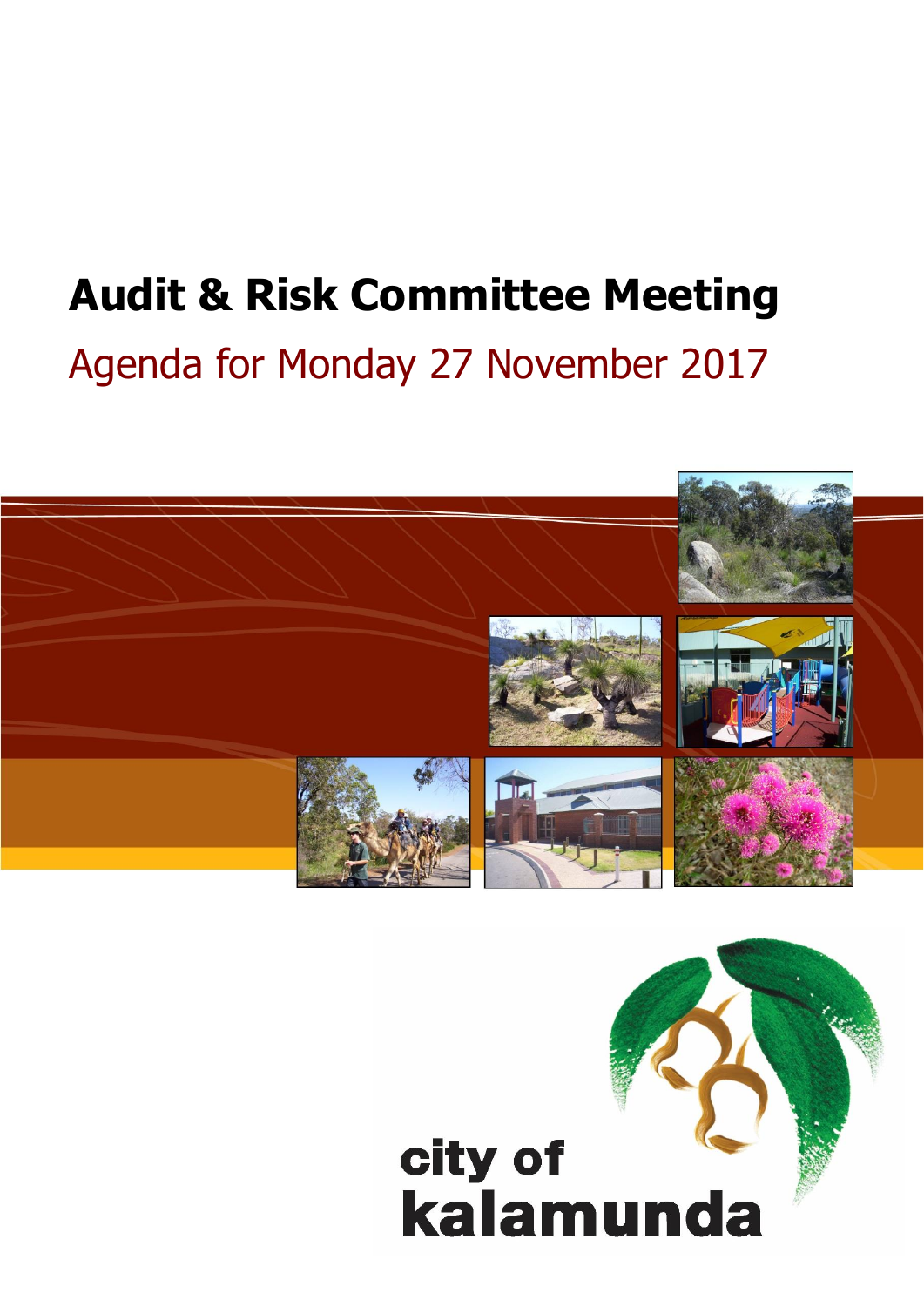# **Audit & Risk Committee Meeting**

# Agenda for Monday 27 November 2017



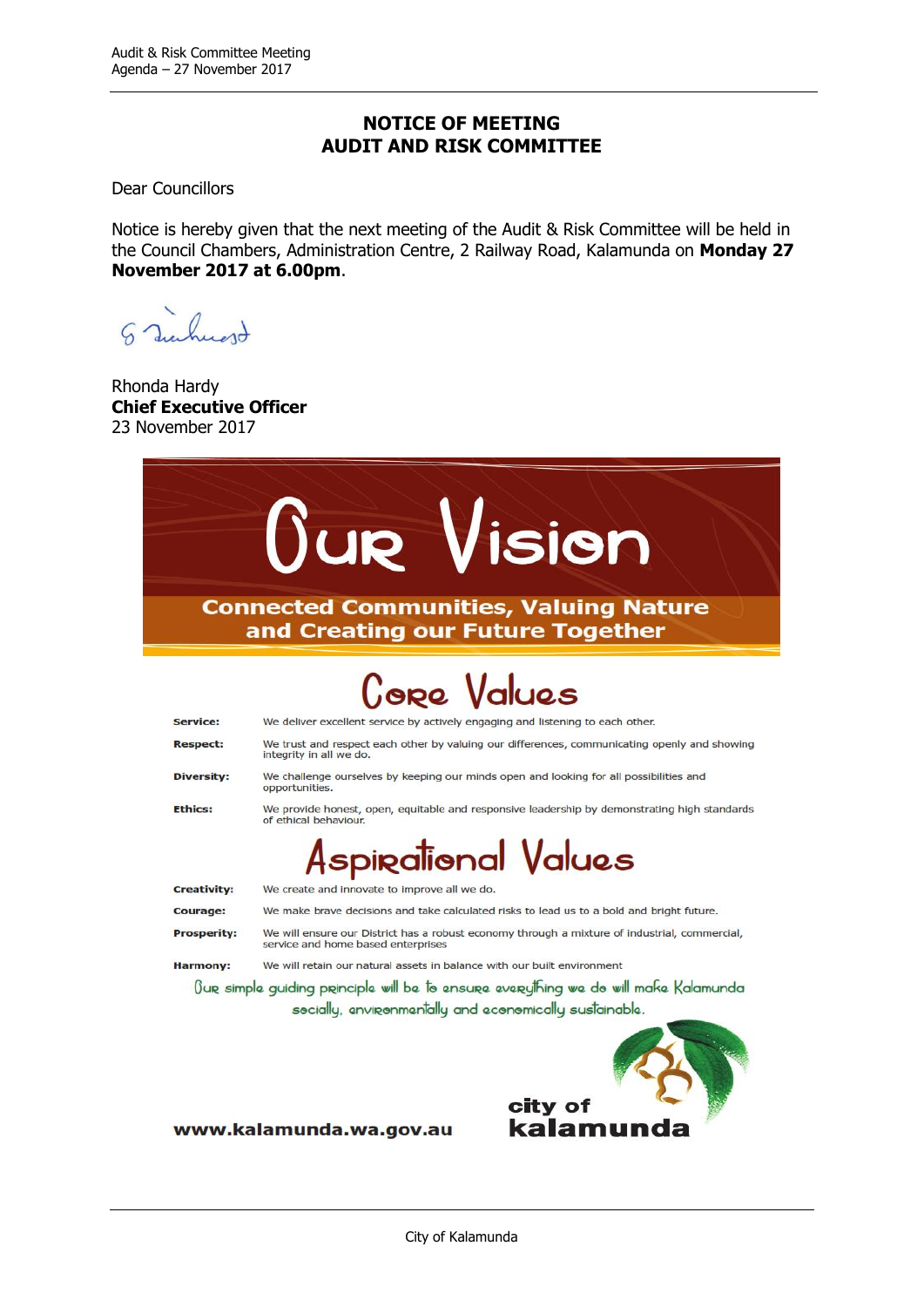#### **NOTICE OF MEETING AUDIT AND RISK COMMITTEE**

Dear Councillors

Notice is hereby given that the next meeting of the Audit & Risk Committee will be held in the Council Chambers, Administration Centre, 2 Railway Road, Kalamunda on **Monday 27 November 2017 at 6.00pm**.

S Junhuard

Rhonda Hardy **Chief Executive Officer** 23 November 2017



www.kalamunda.wa.gov.au

kalamu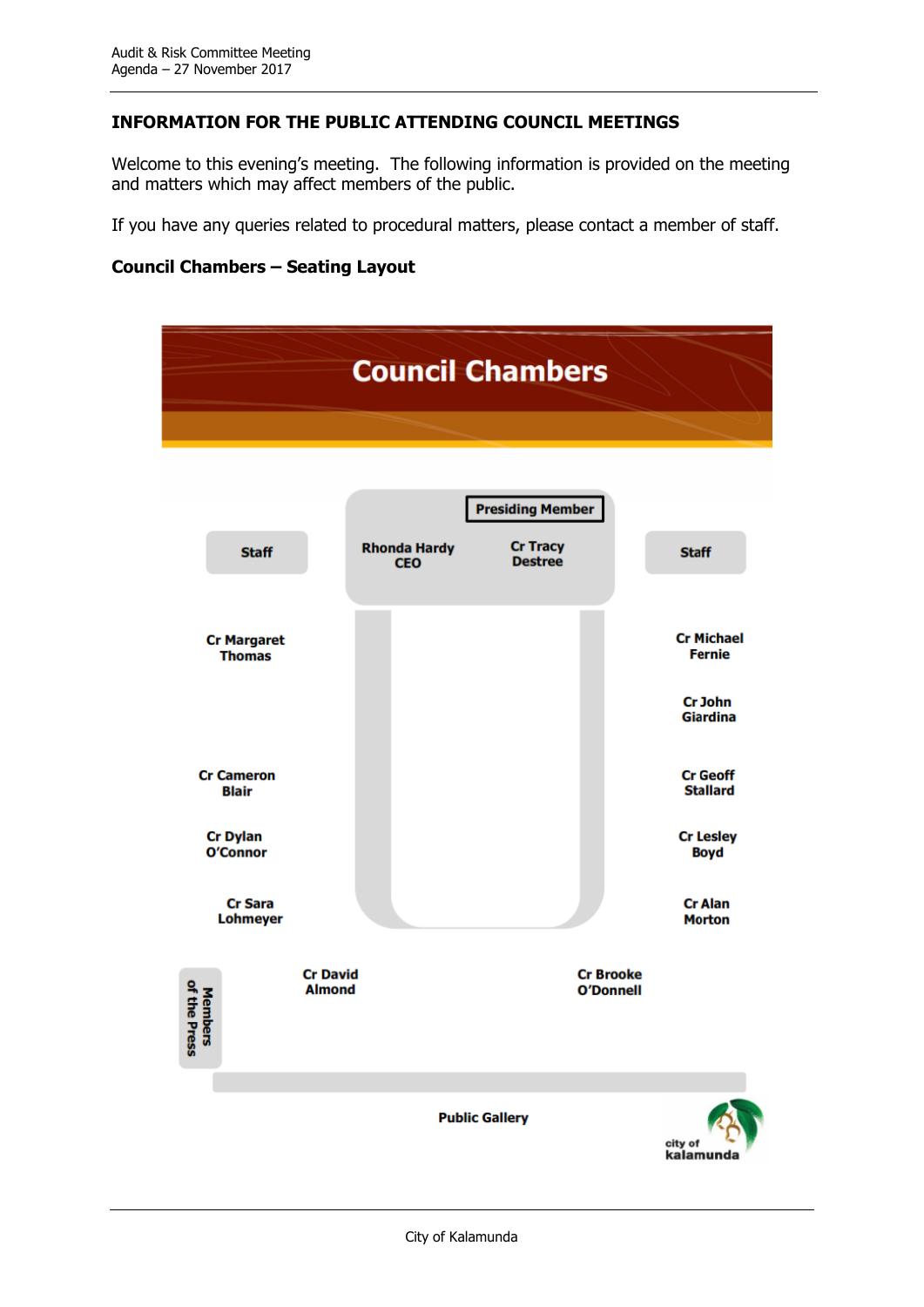#### **INFORMATION FOR THE PUBLIC ATTENDING COUNCIL MEETINGS**

Welcome to this evening's meeting. The following information is provided on the meeting and matters which may affect members of the public.

If you have any queries related to procedural matters, please contact a member of staff.

#### **Council Chambers – Seating Layout**

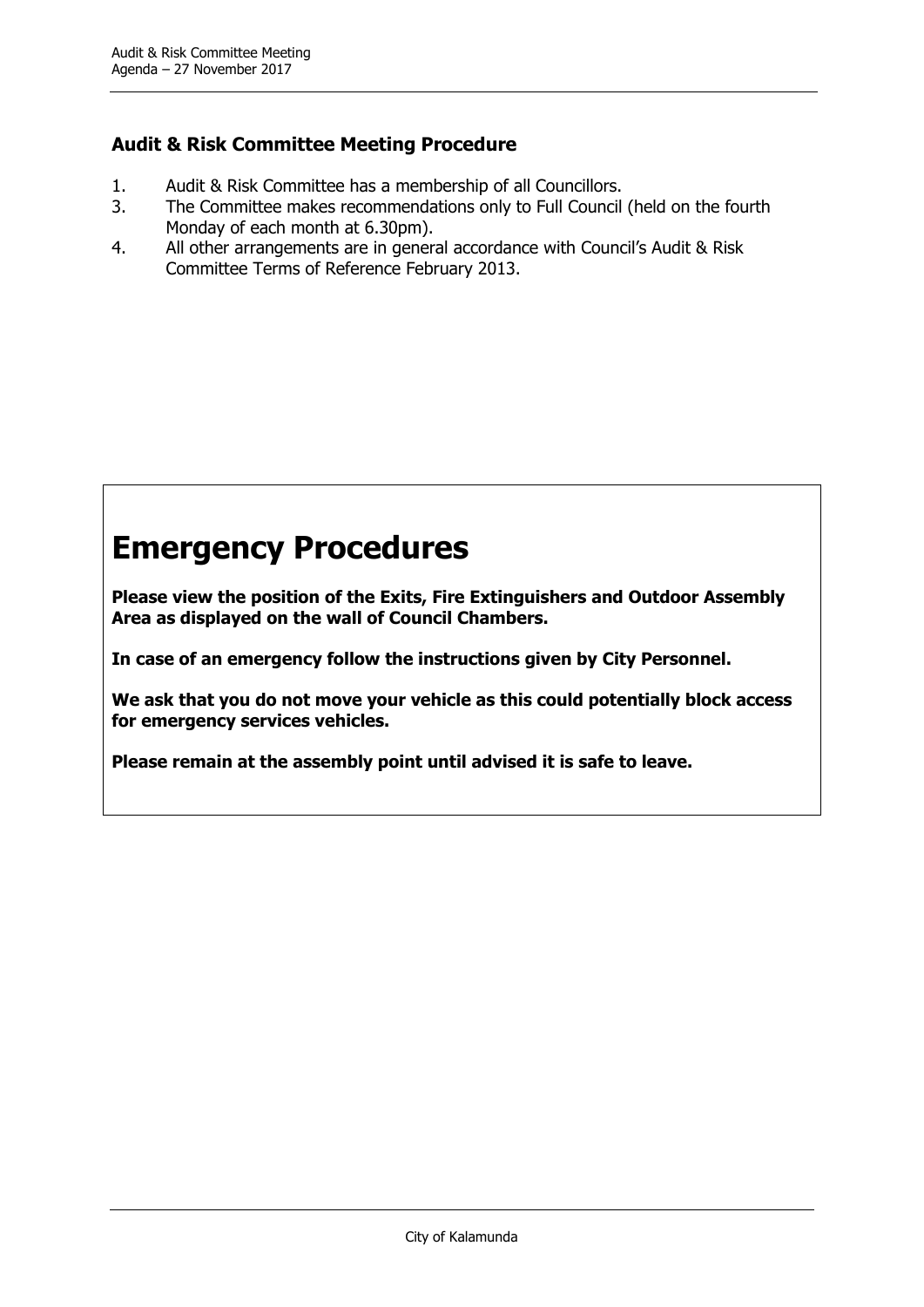#### **Audit & Risk Committee Meeting Procedure**

- 1. Audit & Risk Committee has a membership of all Councillors.
- 3. The Committee makes recommendations only to Full Council (held on the fourth Monday of each month at 6.30pm).
- 4. All other arrangements are in general accordance with Council's Audit & Risk Committee Terms of Reference February 2013.

# **Emergency Procedures**

**Please view the position of the Exits, Fire Extinguishers and Outdoor Assembly Area as displayed on the wall of Council Chambers.**

**In case of an emergency follow the instructions given by City Personnel.**

**We ask that you do not move your vehicle as this could potentially block access for emergency services vehicles.**

**Please remain at the assembly point until advised it is safe to leave.**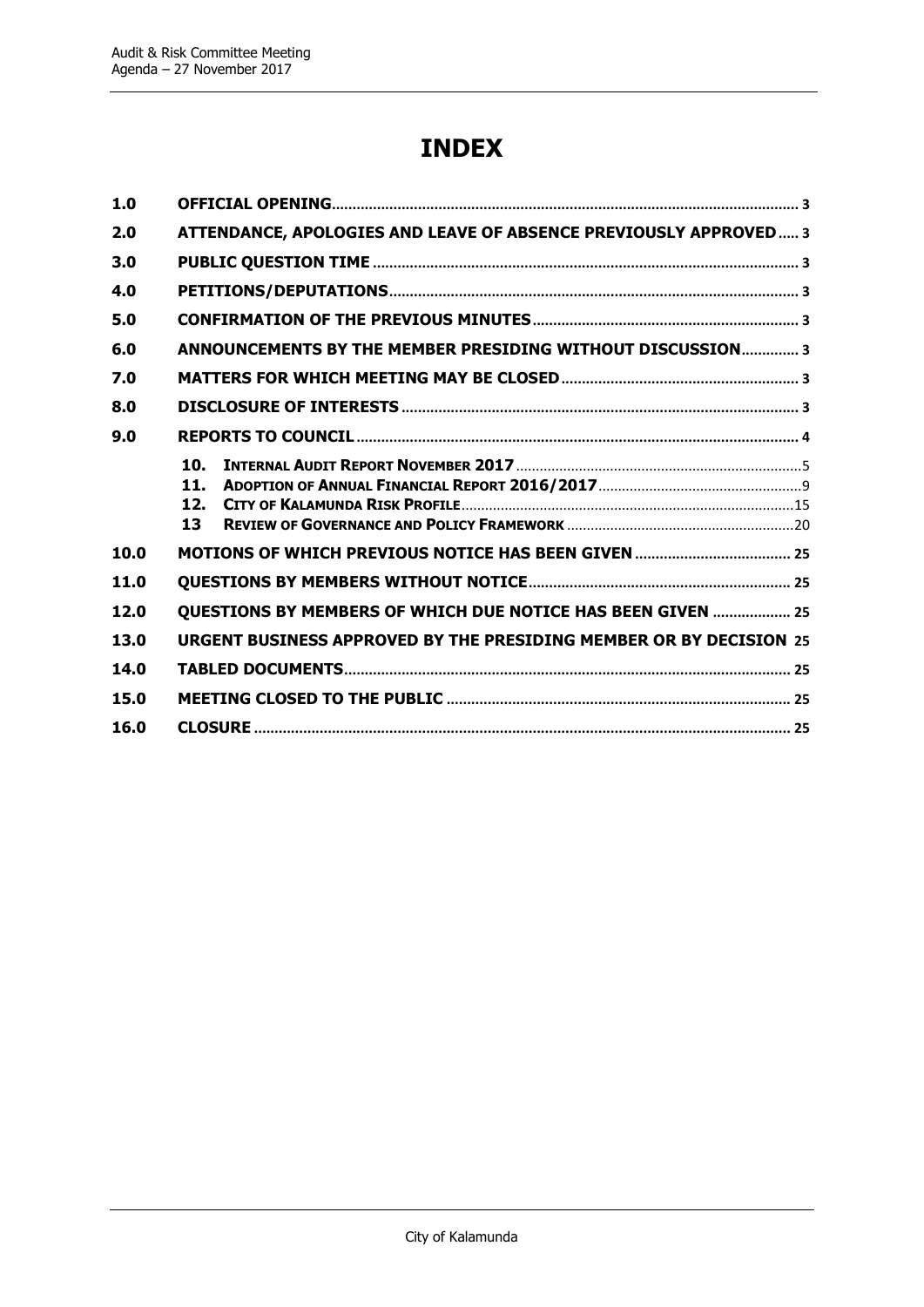## **INDEX**

| 1.0  |                                                                    |
|------|--------------------------------------------------------------------|
| 2.0  | ATTENDANCE, APOLOGIES AND LEAVE OF ABSENCE PREVIOUSLY APPROVED 3   |
| 3.0  |                                                                    |
| 4.0  |                                                                    |
| 5.0  |                                                                    |
| 6.0  | ANNOUNCEMENTS BY THE MEMBER PRESIDING WITHOUT DISCUSSION 3         |
| 7.0  |                                                                    |
| 8.0  |                                                                    |
| 9.0  |                                                                    |
|      | 10. I<br>11.<br>12.<br>13                                          |
| 10.0 |                                                                    |
| 11.0 |                                                                    |
| 12.0 | QUESTIONS BY MEMBERS OF WHICH DUE NOTICE HAS BEEN GIVEN  25        |
| 13.0 | URGENT BUSINESS APPROVED BY THE PRESIDING MEMBER OR BY DECISION 25 |
| 14.0 |                                                                    |
| 15.0 |                                                                    |
| 16.0 |                                                                    |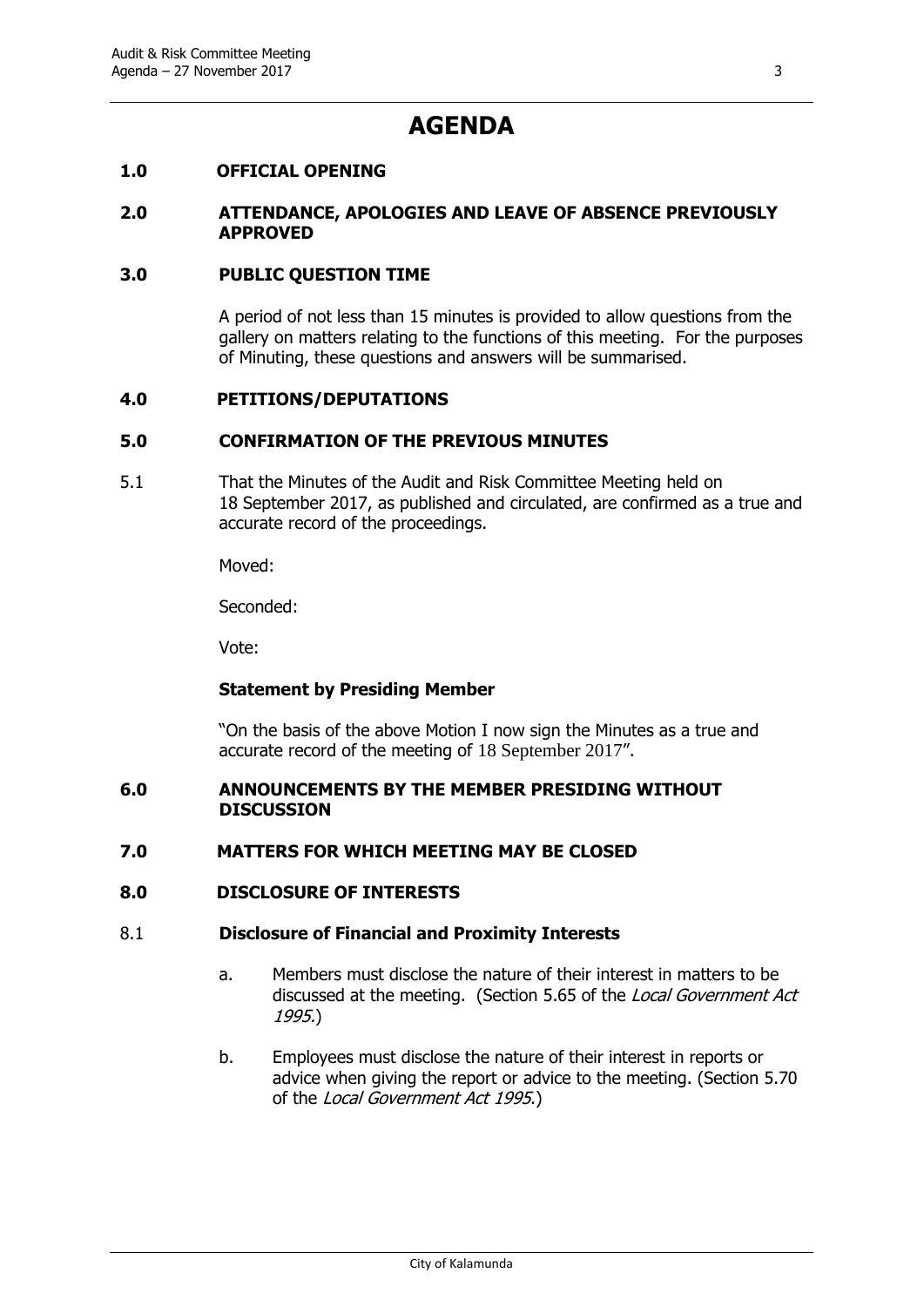### **AGENDA**

#### <span id="page-6-0"></span>**1.0 OFFICIAL OPENING**

#### <span id="page-6-1"></span>**2.0 ATTENDANCE, APOLOGIES AND LEAVE OF ABSENCE PREVIOUSLY APPROVED**

#### <span id="page-6-2"></span>**3.0 PUBLIC QUESTION TIME**

A period of not less than 15 minutes is provided to allow questions from the gallery on matters relating to the functions of this meeting. For the purposes of Minuting, these questions and answers will be summarised.

#### <span id="page-6-3"></span>**4.0 PETITIONS/DEPUTATIONS**

#### <span id="page-6-4"></span>**5.0 CONFIRMATION OF THE PREVIOUS MINUTES**

5.1 That the Minutes of the Audit and Risk Committee Meeting held on 18 September 2017, as published and circulated, are confirmed as a true and accurate record of the proceedings.

Moved:

Seconded:

Vote:

#### **Statement by Presiding Member**

"On the basis of the above Motion I now sign the Minutes as a true and accurate record of the meeting of 18 September 2017".

#### <span id="page-6-5"></span>**6.0 ANNOUNCEMENTS BY THE MEMBER PRESIDING WITHOUT DISCUSSION**

#### <span id="page-6-6"></span>**7.0 MATTERS FOR WHICH MEETING MAY BE CLOSED**

#### <span id="page-6-7"></span>**8.0 DISCLOSURE OF INTERESTS**

#### 8.1 **Disclosure of Financial and Proximity Interests**

- a. Members must disclose the nature of their interest in matters to be discussed at the meeting. (Section 5.65 of the Local Government Act 1995.)
- b. Employees must disclose the nature of their interest in reports or advice when giving the report or advice to the meeting. (Section 5.70 of the Local Government Act 1995.)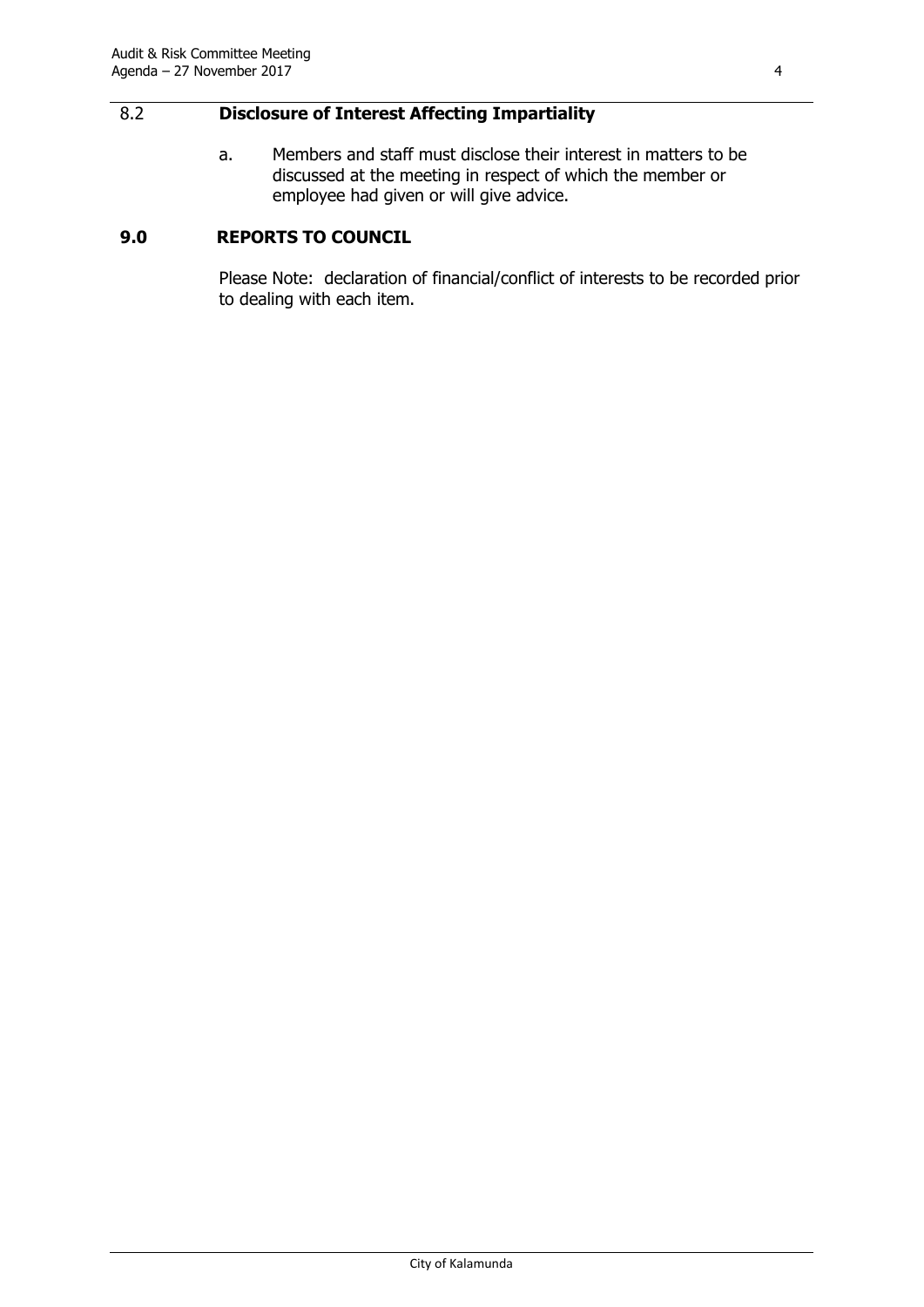#### 8.2 **Disclosure of Interest Affecting Impartiality**

a. Members and staff must disclose their interest in matters to be discussed at the meeting in respect of which the member or employee had given or will give advice.

#### <span id="page-7-0"></span>**9.0 REPORTS TO COUNCIL**

Please Note: declaration of financial/conflict of interests to be recorded prior to dealing with each item.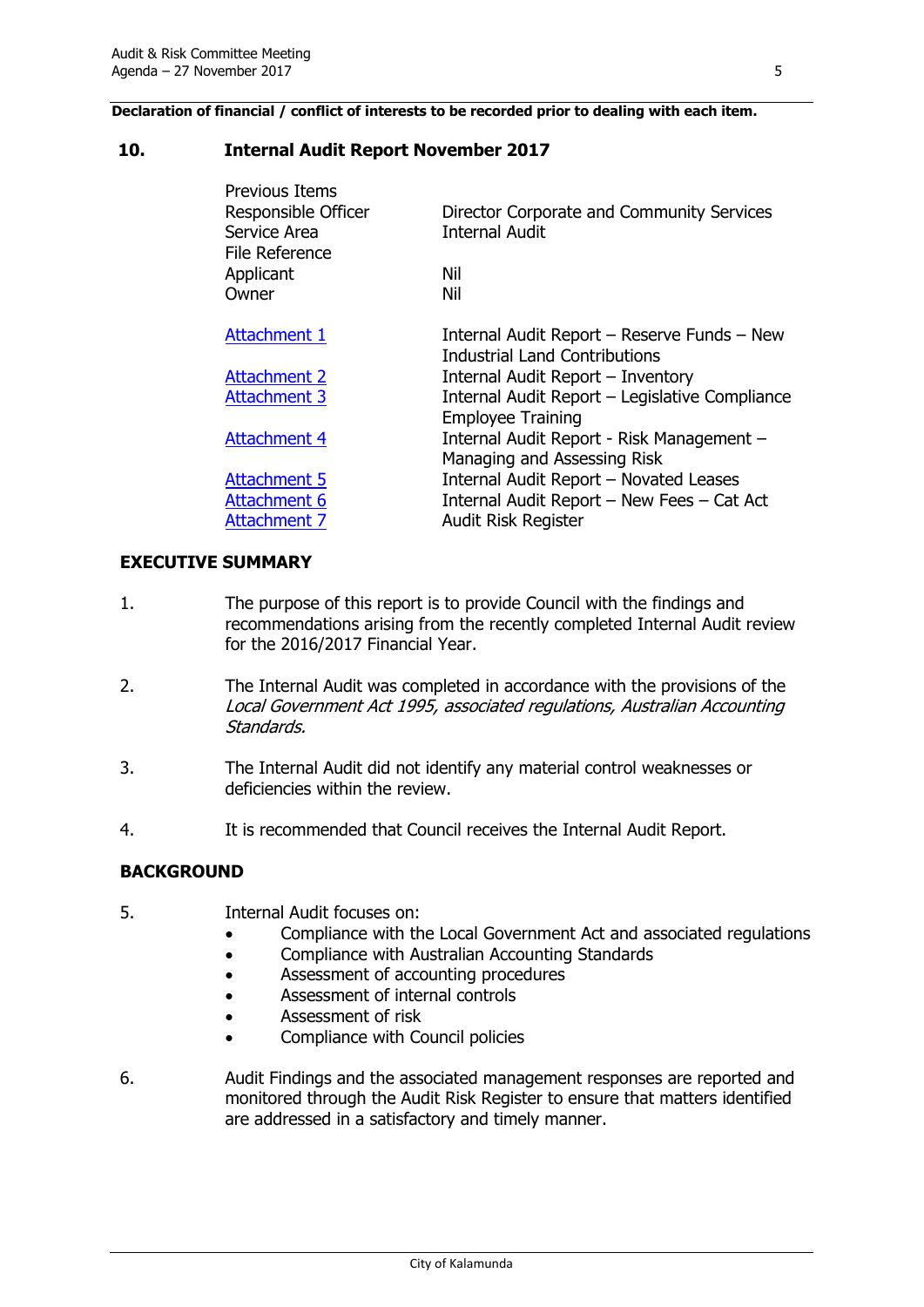**Declaration of financial / conflict of interests to be recorded prior to dealing with each item.**

#### <span id="page-8-0"></span>**10. Internal Audit Report November 2017**

| Director Corporate and Community Services<br><b>Internal Audit</b>                  |
|-------------------------------------------------------------------------------------|
| Nil                                                                                 |
| Nil                                                                                 |
| Internal Audit Report - Reserve Funds - New<br><b>Industrial Land Contributions</b> |
| Internal Audit Report - Inventory                                                   |
| Internal Audit Report - Legislative Compliance<br><b>Employee Training</b>          |
| Internal Audit Report - Risk Management -<br>Managing and Assessing Risk            |
| Internal Audit Report - Novated Leases                                              |
| Internal Audit Report - New Fees - Cat Act                                          |
| Audit Risk Register                                                                 |
|                                                                                     |

#### **EXECUTIVE SUMMARY**

- 1. The purpose of this report is to provide Council with the findings and recommendations arising from the recently completed Internal Audit review for the 2016/2017 Financial Year.
- 2. The Internal Audit was completed in accordance with the provisions of the Local Government Act 1995, associated regulations, Australian Accounting Standards.
- 3. The Internal Audit did not identify any material control weaknesses or deficiencies within the review.
- 4. It is recommended that Council receives the Internal Audit Report.

#### **BACKGROUND**

- 5. Internal Audit focuses on:
	- Compliance with the Local Government Act and associated regulations
	- Compliance with Australian Accounting Standards
	- Assessment of accounting procedures
	- Assessment of internal controls
	- Assessment of risk
	- Compliance with Council policies
- 6. Audit Findings and the associated management responses are reported and monitored through the Audit Risk Register to ensure that matters identified are addressed in a satisfactory and timely manner.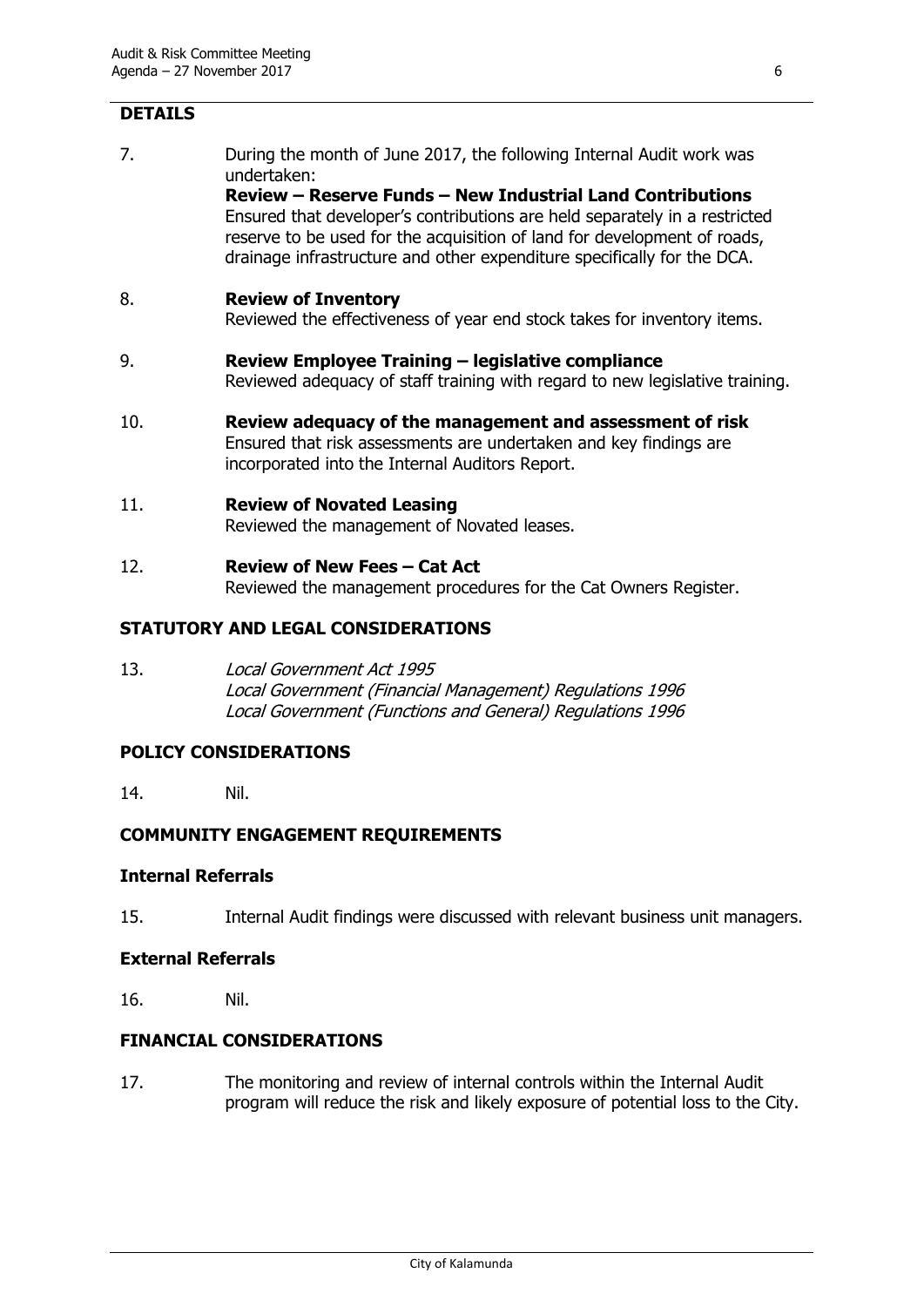#### **DETAILS**

7. During the month of June 2017, the following Internal Audit work was undertaken:

**Review – Reserve Funds – New Industrial Land Contributions** Ensured that developer's contributions are held separately in a restricted reserve to be used for the acquisition of land for development of roads, drainage infrastructure and other expenditure specifically for the DCA.

#### 8. **Review of Inventory**

Reviewed the effectiveness of year end stock takes for inventory items.

- 9. **Review Employee Training – legislative compliance** Reviewed adequacy of staff training with regard to new legislative training.
- 10. **Review adequacy of the management and assessment of risk** Ensured that risk assessments are undertaken and key findings are incorporated into the Internal Auditors Report.

#### 11. **Review of Novated Leasing**

Reviewed the management of Novated leases.

12. **Review of New Fees – Cat Act** Reviewed the management procedures for the Cat Owners Register.

#### **STATUTORY AND LEGAL CONSIDERATIONS**

13. Local Government Act 1995 Local Government (Financial Management) Regulations 1996 Local Government (Functions and General) Regulations 1996

#### **POLICY CONSIDERATIONS**

14. Nil.

#### **COMMUNITY ENGAGEMENT REQUIREMENTS**

#### **Internal Referrals**

15. Internal Audit findings were discussed with relevant business unit managers.

#### **External Referrals**

16. Nil.

#### **FINANCIAL CONSIDERATIONS**

17. The monitoring and review of internal controls within the Internal Audit program will reduce the risk and likely exposure of potential loss to the City.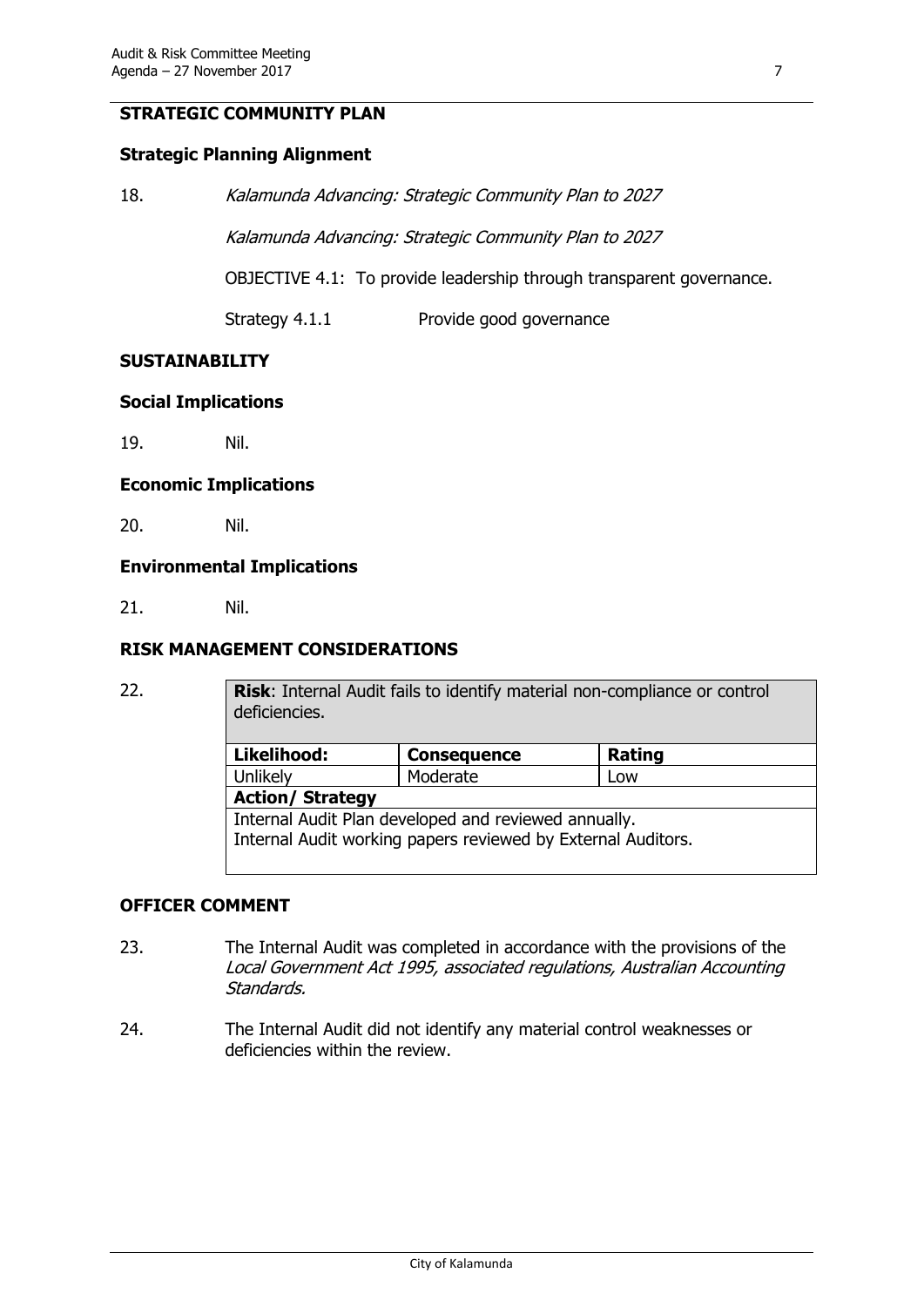#### **STRATEGIC COMMUNITY PLAN**

#### **Strategic Planning Alignment**

| 18. | Kalamunda Advancing: Strategic Community Plan to 2027 |  |  |
|-----|-------------------------------------------------------|--|--|
|     | Kalamunda Advancing: Strategic Community Plan to 2027 |  |  |

OBJECTIVE 4.1: To provide leadership through transparent governance.

Strategy 4.1.1 Provide good governance

#### **SUSTAINABILITY**

#### **Social Implications**

19. Nil.

#### **Economic Implications**

20. Nil.

#### **Environmental Implications**

21. Nil.

#### **RISK MANAGEMENT CONSIDERATIONS**

| . . | . . |  |
|-----|-----|--|
| . . | . . |  |
|     |     |  |

**Risk:** Internal Audit fails to identify material non-compliance or control deficiencies.

| Likelihood:                                                  | <b>Consequence</b> | Rating |  |  |
|--------------------------------------------------------------|--------------------|--------|--|--|
| Unlikely                                                     | Moderate           | Low    |  |  |
| <b>Action/ Strategy</b>                                      |                    |        |  |  |
| Internal Audit Plan developed and reviewed annually.         |                    |        |  |  |
| Internal Audit working papers reviewed by External Auditors. |                    |        |  |  |
|                                                              |                    |        |  |  |

#### **OFFICER COMMENT**

- 23. The Internal Audit was completed in accordance with the provisions of the Local Government Act 1995, associated regulations, Australian Accounting Standards.
- 24. The Internal Audit did not identify any material control weaknesses or deficiencies within the review.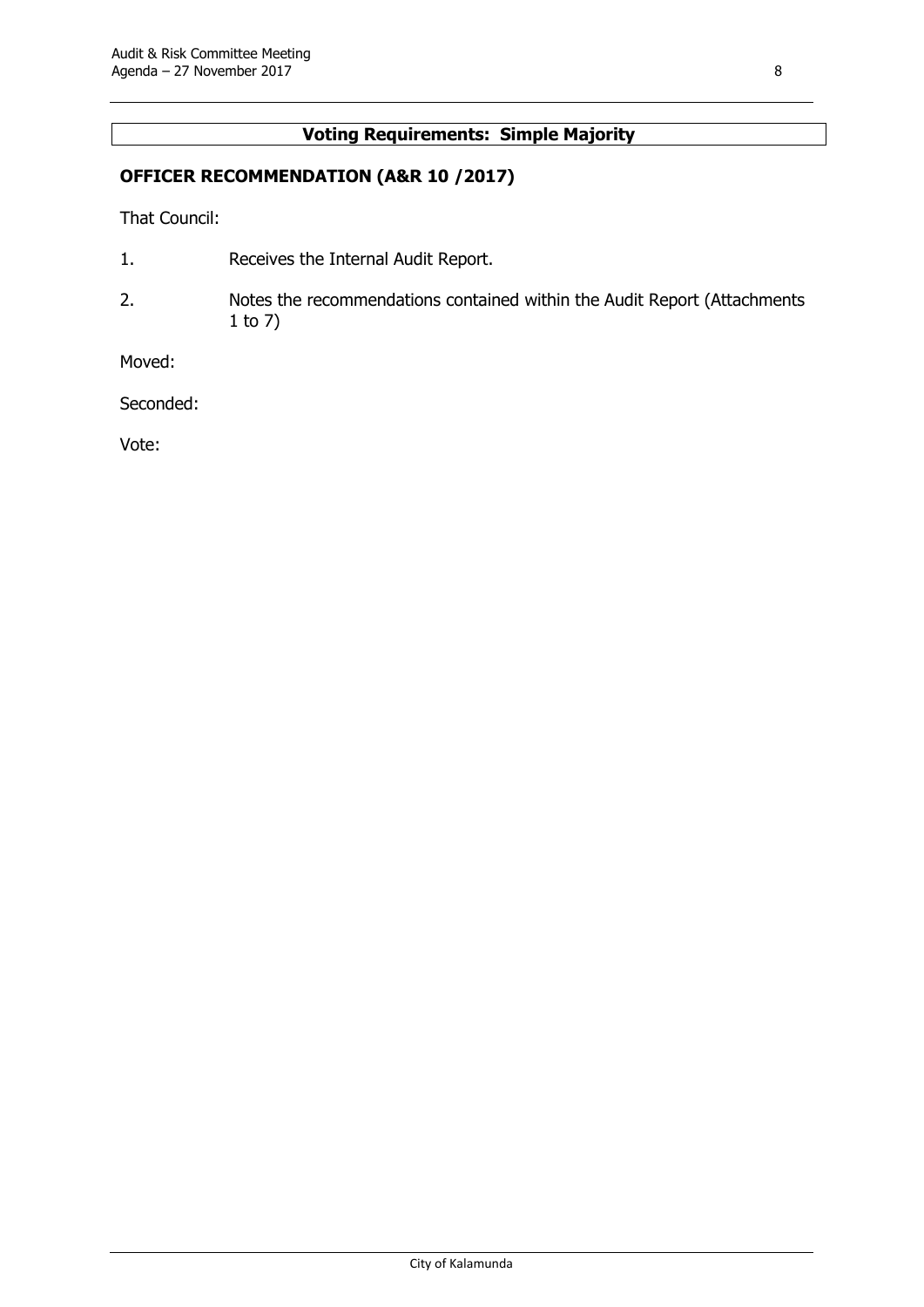### **Voting Requirements: Simple Majority**

#### **OFFICER RECOMMENDATION (A&R 10 /2017)**

That Council:

- 1. Receives the Internal Audit Report.
- 2. Notes the recommendations contained within the Audit Report (Attachments 1 to 7)

Moved:

Seconded:

Vote: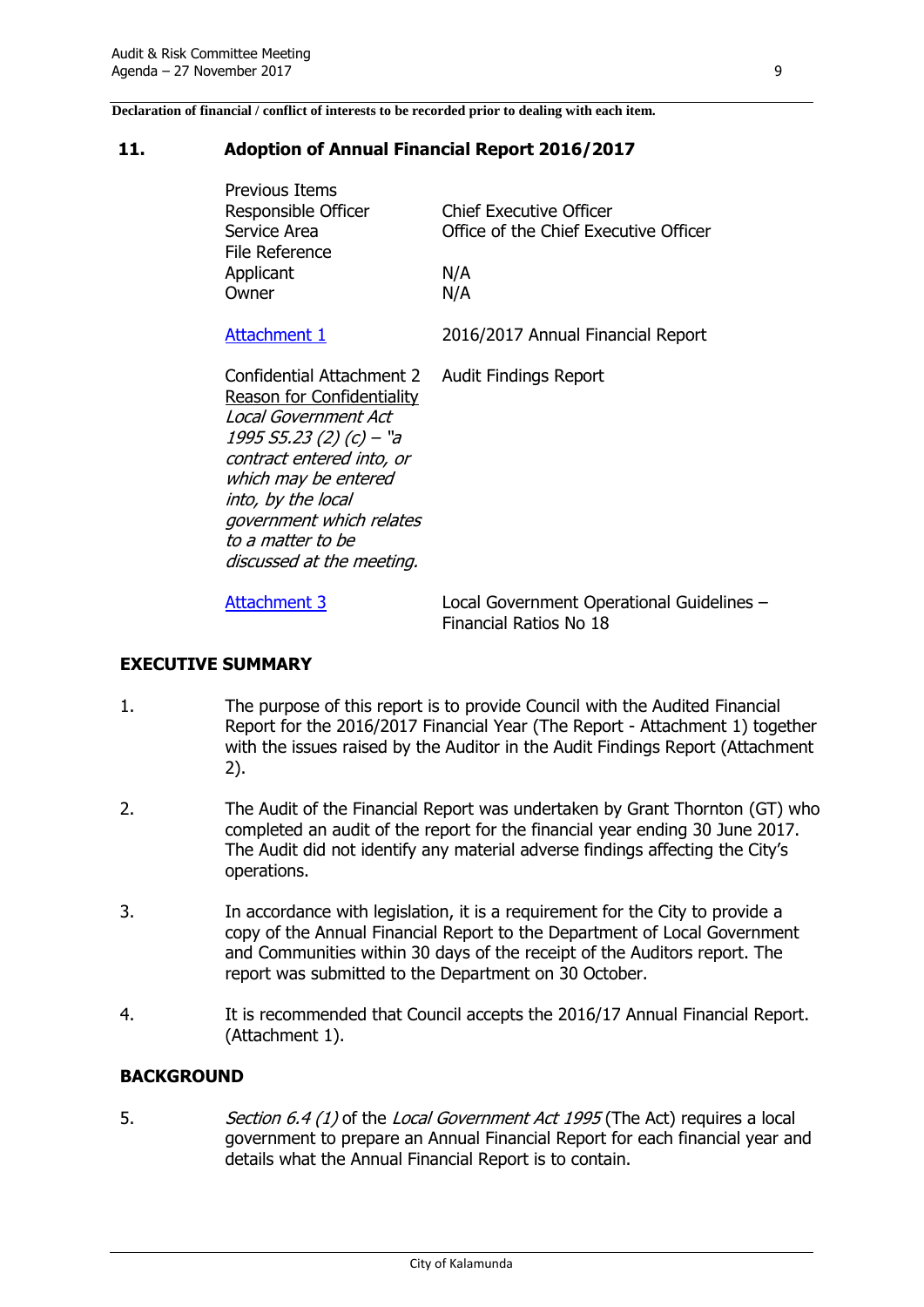**Declaration of financial / conflict of interests to be recorded prior to dealing with each item.**

#### <span id="page-12-0"></span>**11. Adoption of Annual Financial Report 2016/2017**

| <b>Previous Items</b><br>Responsible Officer<br>Service Area<br>File Reference                                                                                                                                                                                      | <b>Chief Executive Officer</b><br>Office of the Chief Executive Officer |
|---------------------------------------------------------------------------------------------------------------------------------------------------------------------------------------------------------------------------------------------------------------------|-------------------------------------------------------------------------|
| Applicant                                                                                                                                                                                                                                                           | N/A                                                                     |
| Owner                                                                                                                                                                                                                                                               | N/A                                                                     |
| Attachment 1                                                                                                                                                                                                                                                        | 2016/2017 Annual Financial Report                                       |
| Confidential Attachment 2<br>Reason for Confidentiality<br>Local Government Act<br>1995 S5.23 (2) (c) – "a<br>contract entered into, or<br>which may be entered<br>into, by the local<br>government which relates<br>to a matter to be<br>discussed at the meeting. | <b>Audit Findings Report</b>                                            |

[Attachment 3](http://www.kalamunda.wa.gov.au/files/fe8a8339-bbc7-4d4e-9b43-a83401018e53/113-Adoption-of-Financial-Local-Government-Operational-Guidelines.pdf) Local Government Operational Guidelines – Financial Ratios No 18

#### **EXECUTIVE SUMMARY**

- 1. The purpose of this report is to provide Council with the Audited Financial Report for the 2016/2017 Financial Year (The Report - Attachment 1) together with the issues raised by the Auditor in the Audit Findings Report (Attachment 2).
- 2. The Audit of the Financial Report was undertaken by Grant Thornton (GT) who completed an audit of the report for the financial year ending 30 June 2017. The Audit did not identify any material adverse findings affecting the City's operations.
- 3. In accordance with legislation, it is a requirement for the City to provide a copy of the Annual Financial Report to the Department of Local Government and Communities within 30 days of the receipt of the Auditors report. The report was submitted to the Department on 30 October.
- 4. It is recommended that Council accepts the 2016/17 Annual Financial Report. (Attachment 1).

#### **BACKGROUND**

5. Section 6.4 (1) of the Local Government Act 1995 (The Act) requires a local government to prepare an Annual Financial Report for each financial year and details what the Annual Financial Report is to contain.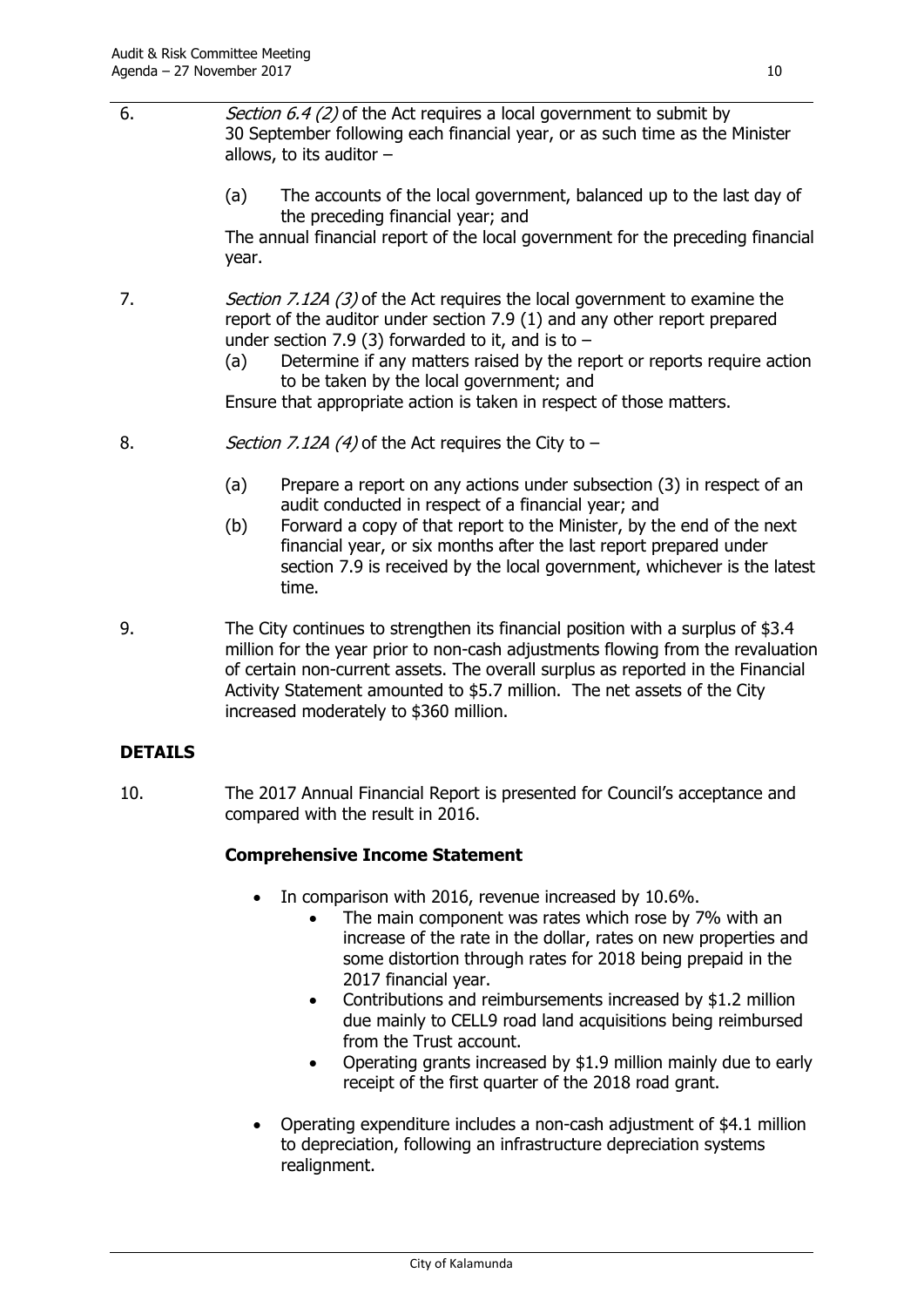- 6. Section 6.4 (2) of the Act requires a local government to submit by 30 September following each financial year, or as such time as the Minister allows, to its auditor  $-$ 
	- (a) The accounts of the local government, balanced up to the last day of the preceding financial year; and

The annual financial report of the local government for the preceding financial year.

- 7. Section 7.12A (3) of the Act requires the local government to examine the report of the auditor under section 7.9 (1) and any other report prepared under section 7.9 (3) forwarded to it, and is to  $-$ 
	- (a) Determine if any matters raised by the report or reports require action to be taken by the local government; and

Ensure that appropriate action is taken in respect of those matters.

- 8.  $Section 7.12A (4)$  of the Act requires the City to  $-$ 
	- (a) Prepare a report on any actions under subsection (3) in respect of an audit conducted in respect of a financial year; and
	- (b) Forward a copy of that report to the Minister, by the end of the next financial year, or six months after the last report prepared under section 7.9 is received by the local government, whichever is the latest time.
- 9. The City continues to strengthen its financial position with a surplus of \$3.4 million for the year prior to non-cash adjustments flowing from the revaluation of certain non-current assets. The overall surplus as reported in the Financial Activity Statement amounted to \$5.7 million. The net assets of the City increased moderately to \$360 million.

#### **DETAILS**

10. The 2017 Annual Financial Report is presented for Council's acceptance and compared with the result in 2016.

#### **Comprehensive Income Statement**

- In comparison with 2016, revenue increased by 10.6%.
	- The main component was rates which rose by 7% with an increase of the rate in the dollar, rates on new properties and some distortion through rates for 2018 being prepaid in the 2017 financial year.
	- Contributions and reimbursements increased by \$1.2 million due mainly to CELL9 road land acquisitions being reimbursed from the Trust account.
	- Operating grants increased by \$1.9 million mainly due to early receipt of the first quarter of the 2018 road grant.
- Operating expenditure includes a non-cash adjustment of \$4.1 million to depreciation, following an infrastructure depreciation systems realignment.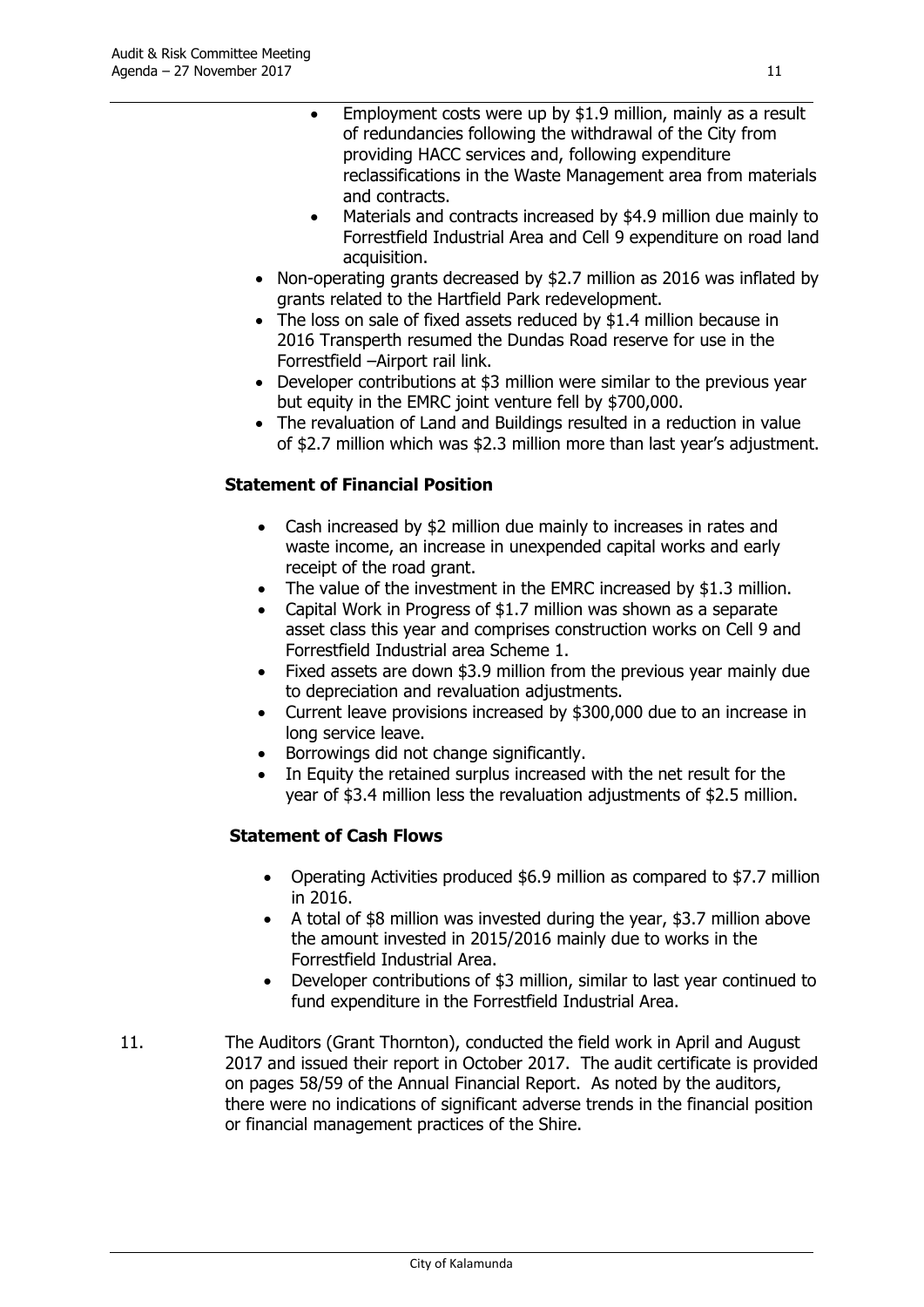- Employment costs were up by \$1.9 million, mainly as a result of redundancies following the withdrawal of the City from providing HACC services and, following expenditure reclassifications in the Waste Management area from materials and contracts.
- Materials and contracts increased by \$4.9 million due mainly to Forrestfield Industrial Area and Cell 9 expenditure on road land acquisition.
- Non-operating grants decreased by \$2.7 million as 2016 was inflated by grants related to the Hartfield Park redevelopment.
- The loss on sale of fixed assets reduced by \$1.4 million because in 2016 Transperth resumed the Dundas Road reserve for use in the Forrestfield –Airport rail link.
- Developer contributions at \$3 million were similar to the previous year but equity in the EMRC joint venture fell by \$700,000.
- The revaluation of Land and Buildings resulted in a reduction in value of \$2.7 million which was \$2.3 million more than last year's adjustment.

#### **Statement of Financial Position**

- Cash increased by \$2 million due mainly to increases in rates and waste income, an increase in unexpended capital works and early receipt of the road grant.
- The value of the investment in the EMRC increased by \$1.3 million.
- Capital Work in Progress of \$1.7 million was shown as a separate asset class this year and comprises construction works on Cell 9 and Forrestfield Industrial area Scheme 1.
- Fixed assets are down \$3.9 million from the previous year mainly due to depreciation and revaluation adjustments.
- Current leave provisions increased by \$300,000 due to an increase in long service leave.
- Borrowings did not change significantly.
- In Equity the retained surplus increased with the net result for the year of \$3.4 million less the revaluation adjustments of \$2.5 million.

#### **Statement of Cash Flows**

- Operating Activities produced \$6.9 million as compared to \$7.7 million in 2016.
- A total of \$8 million was invested during the year, \$3.7 million above the amount invested in 2015/2016 mainly due to works in the Forrestfield Industrial Area.
- Developer contributions of \$3 million, similar to last year continued to fund expenditure in the Forrestfield Industrial Area.
- 11. The Auditors (Grant Thornton), conducted the field work in April and August 2017 and issued their report in October 2017. The audit certificate is provided on pages 58/59 of the Annual Financial Report. As noted by the auditors, there were no indications of significant adverse trends in the financial position or financial management practices of the Shire.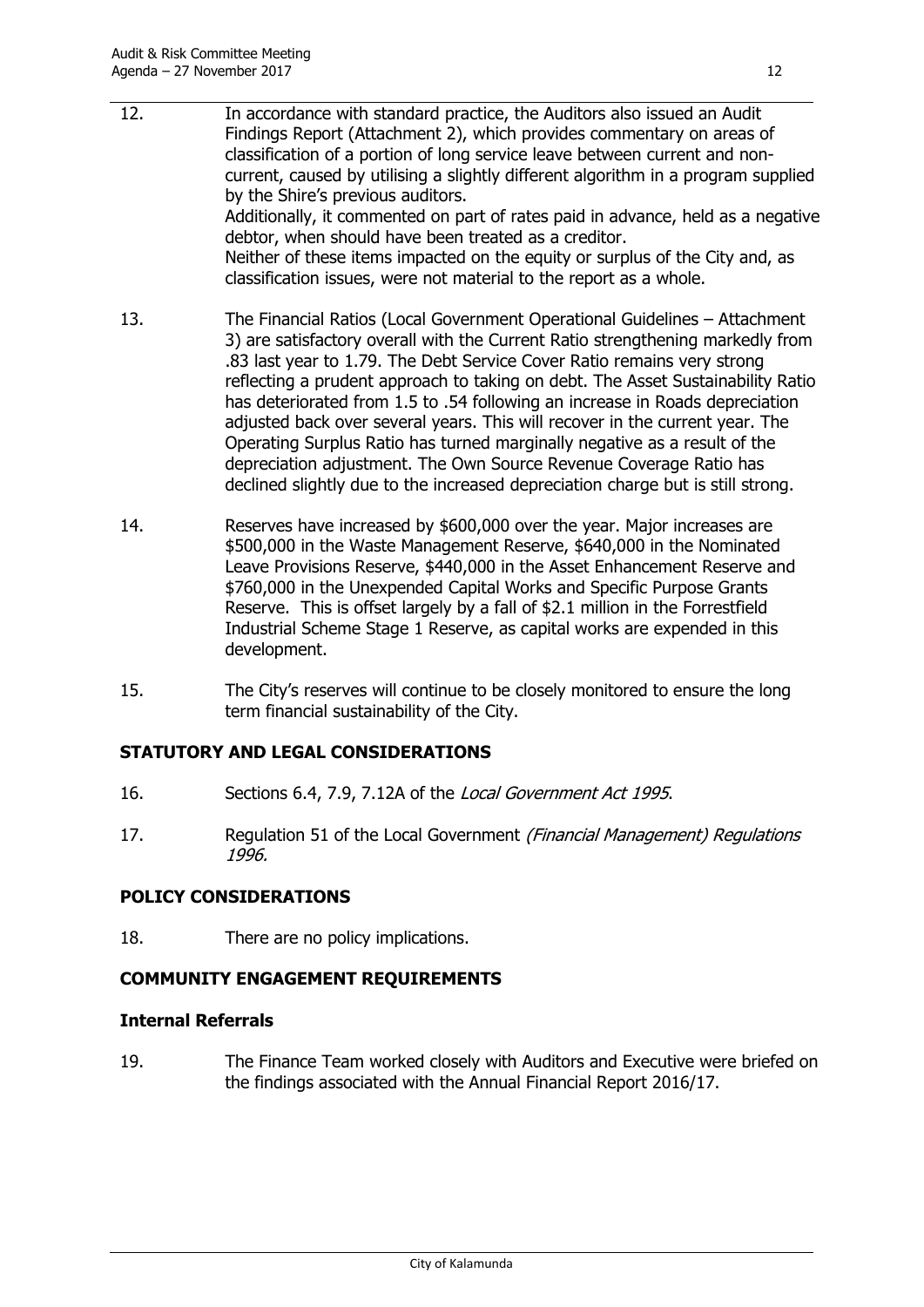- 12. In accordance with standard practice, the Auditors also issued an Audit Findings Report (Attachment 2), which provides commentary on areas of classification of a portion of long service leave between current and noncurrent, caused by utilising a slightly different algorithm in a program supplied by the Shire's previous auditors. Additionally, it commented on part of rates paid in advance, held as a negative debtor, when should have been treated as a creditor. Neither of these items impacted on the equity or surplus of the City and, as classification issues, were not material to the report as a whole.
- 13. The Financial Ratios (Local Government Operational Guidelines Attachment 3) are satisfactory overall with the Current Ratio strengthening markedly from .83 last year to 1.79. The Debt Service Cover Ratio remains very strong reflecting a prudent approach to taking on debt. The Asset Sustainability Ratio has deteriorated from 1.5 to .54 following an increase in Roads depreciation adjusted back over several years. This will recover in the current year. The Operating Surplus Ratio has turned marginally negative as a result of the depreciation adjustment. The Own Source Revenue Coverage Ratio has declined slightly due to the increased depreciation charge but is still strong.
- 14. Reserves have increased by \$600,000 over the year. Major increases are \$500,000 in the Waste Management Reserve, \$640,000 in the Nominated Leave Provisions Reserve, \$440,000 in the Asset Enhancement Reserve and \$760,000 in the Unexpended Capital Works and Specific Purpose Grants Reserve. This is offset largely by a fall of \$2.1 million in the Forrestfield Industrial Scheme Stage 1 Reserve, as capital works are expended in this development.
- 15. The City's reserves will continue to be closely monitored to ensure the long term financial sustainability of the City.

#### **STATUTORY AND LEGAL CONSIDERATIONS**

- 16. Sections 6.4, 7.9, 7.12A of the Local Government Act 1995.
- 17. Regulation 51 of the Local Government (Financial Management) Regulations 1996.

#### **POLICY CONSIDERATIONS**

18. There are no policy implications.

#### **COMMUNITY ENGAGEMENT REQUIREMENTS**

#### **Internal Referrals**

19. The Finance Team worked closely with Auditors and Executive were briefed on the findings associated with the Annual Financial Report 2016/17.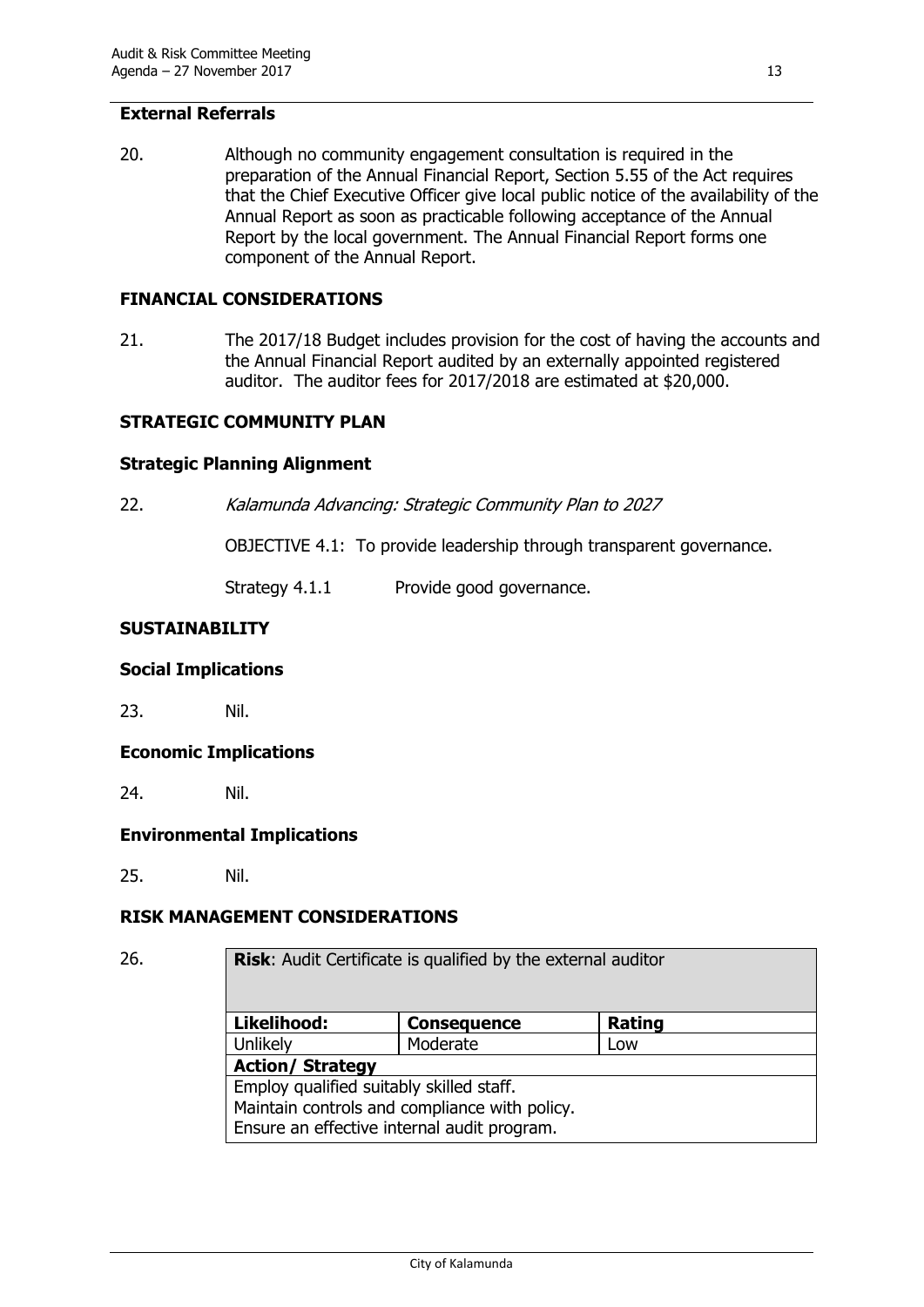#### **External Referrals**

20. Although no community engagement consultation is required in the preparation of the Annual Financial Report, Section 5.55 of the Act requires that the Chief Executive Officer give local public notice of the availability of the Annual Report as soon as practicable following acceptance of the Annual Report by the local government. The Annual Financial Report forms one component of the Annual Report.

#### **FINANCIAL CONSIDERATIONS**

21. The 2017/18 Budget includes provision for the cost of having the accounts and the Annual Financial Report audited by an externally appointed registered auditor. The auditor fees for 2017/2018 are estimated at \$20,000.

#### **STRATEGIC COMMUNITY PLAN**

#### **Strategic Planning Alignment**

22. Kalamunda Advancing: Strategic Community Plan to 2027

OBJECTIVE 4.1: To provide leadership through transparent governance.

Strategy 4.1.1 Provide good governance.

#### **SUSTAINABILITY**

#### **Social Implications**

23. Nil.

#### **Economic Implications**

24. Nil.

#### **Environmental Implications**

25. Nil.

#### **RISK MANAGEMENT CONSIDERATIONS**

26. **Risk**: Audit Certificate is qualified by the external auditor

| Likelihood:                                   | <b>Consequence</b> | Rating |  |  |
|-----------------------------------------------|--------------------|--------|--|--|
| Unlikely                                      | Moderate           | Low    |  |  |
| <b>Action/ Strategy</b>                       |                    |        |  |  |
| Employ qualified suitably skilled staff.      |                    |        |  |  |
| Maintain controls and compliance with policy. |                    |        |  |  |
| Ensure an effective internal audit program.   |                    |        |  |  |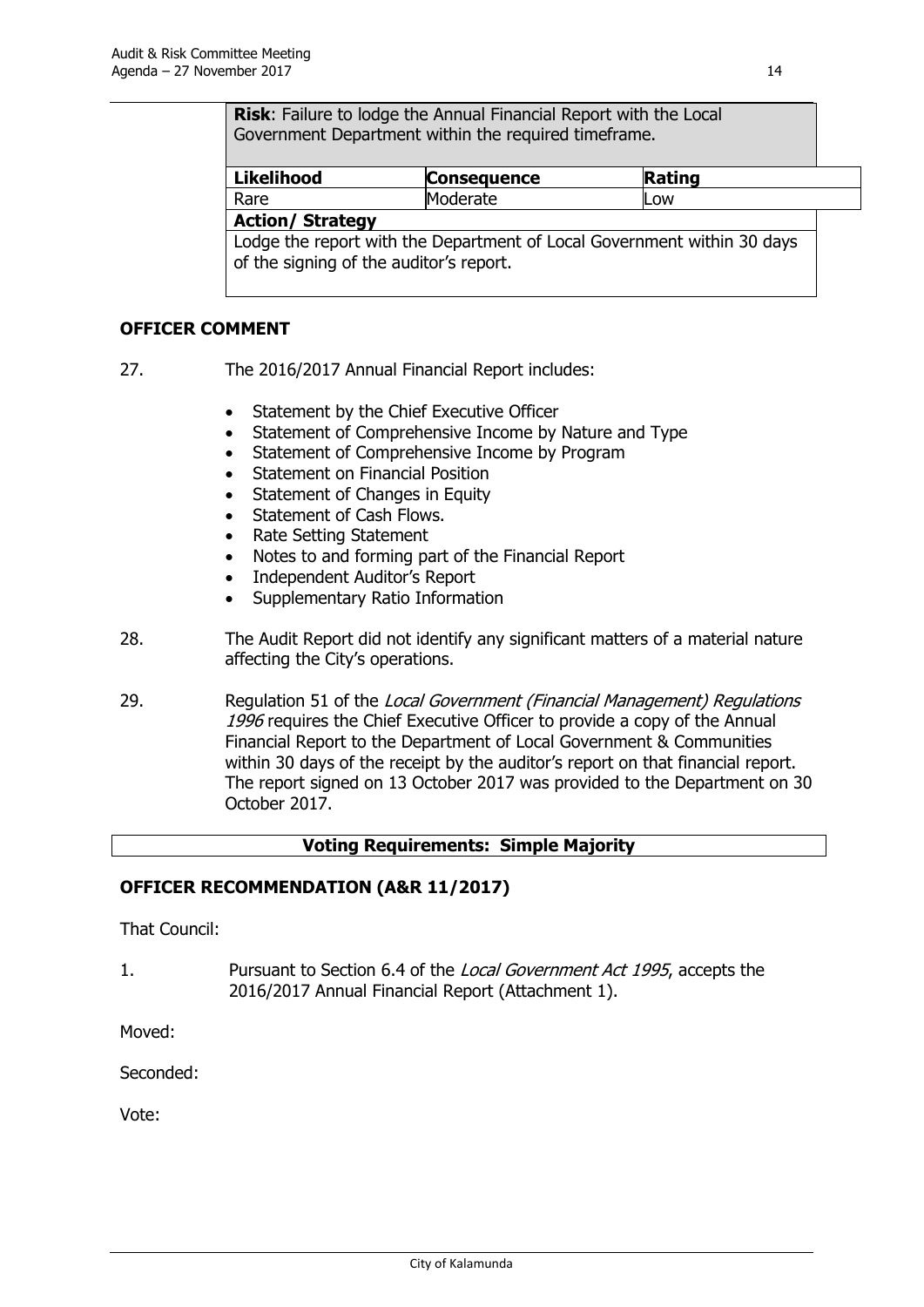**Risk**: Failure to lodge the Annual Financial Report with the Local Government Department within the required timeframe.

| <b>Likelihood</b> | <b>Consequence</b> | Rating |  |
|-------------------|--------------------|--------|--|
| Rare              | 'oderate           | LOW    |  |
| .<br>__           |                    |        |  |

#### **Action/ Strategy**

Lodge the report with the Department of Local Government within 30 days of the signing of the auditor's report.

#### **OFFICER COMMENT**

- 27. The 2016/2017 Annual Financial Report includes:
	- Statement by the Chief Executive Officer
	- Statement of Comprehensive Income by Nature and Type
	- Statement of Comprehensive Income by Program
	- Statement on Financial Position
	- Statement of Changes in Equity
	- Statement of Cash Flows.
	- Rate Setting Statement
	- Notes to and forming part of the Financial Report
	- Independent Auditor's Report
	- Supplementary Ratio Information
- 28. The Audit Report did not identify any significant matters of a material nature affecting the City's operations.
- 29. Regulation 51 of the Local Government (Financial Management) Regulations 1996 requires the Chief Executive Officer to provide a copy of the Annual Financial Report to the Department of Local Government & Communities within 30 days of the receipt by the auditor's report on that financial report. The report signed on 13 October 2017 was provided to the Department on 30 October 2017.

#### **Voting Requirements: Simple Majority**

#### **OFFICER RECOMMENDATION (A&R 11/2017)**

That Council:

1. Pursuant to Section 6.4 of the Local Government Act 1995, accepts the 2016/2017 Annual Financial Report (Attachment 1).

Moved:

Seconded:

Vote: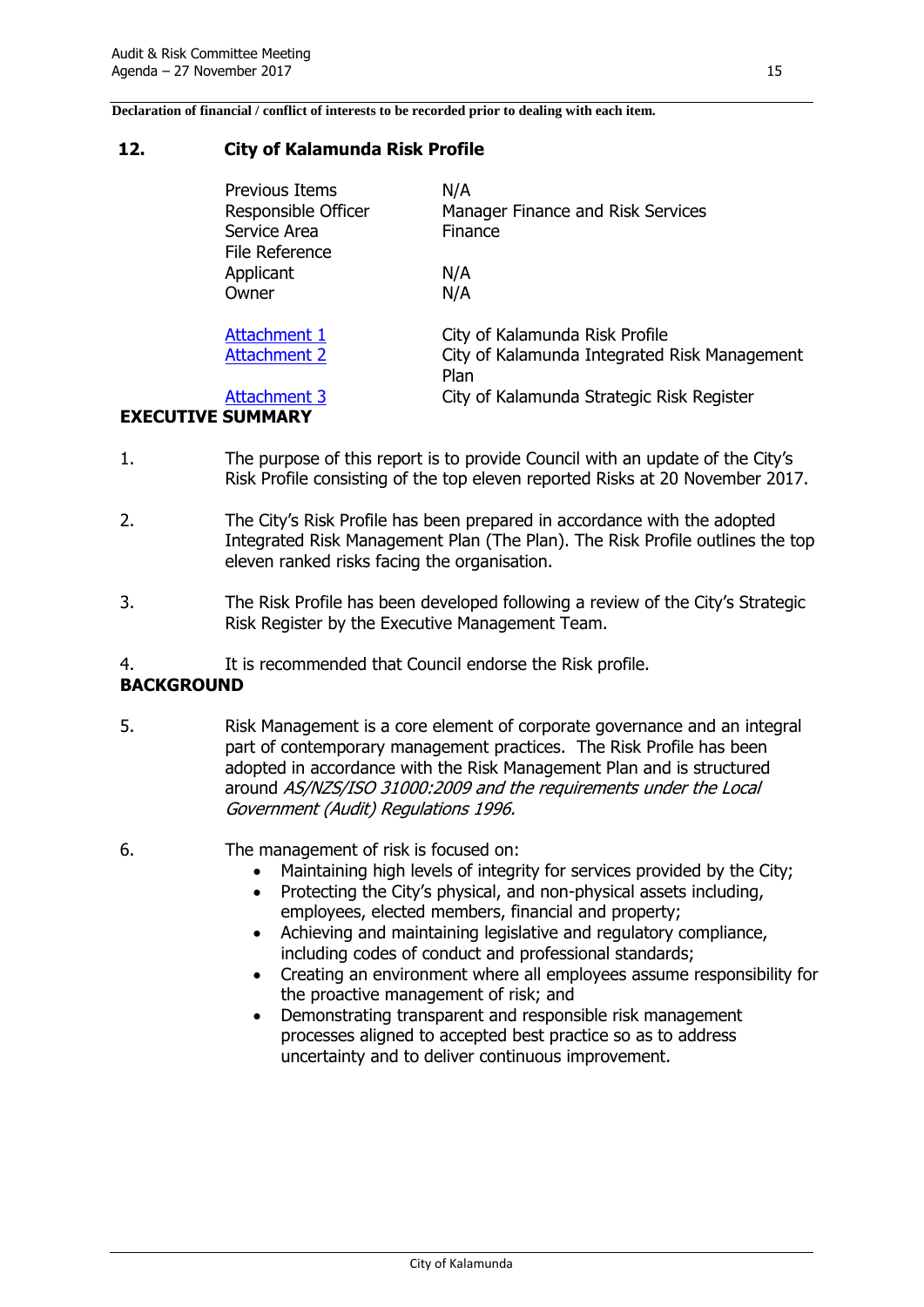**Declaration of financial / conflict of interests to be recorded prior to dealing with each item.**

#### <span id="page-18-0"></span>**12. City of Kalamunda Risk Profile**

| Previous Items<br>Responsible Officer<br>Service Area<br>File Reference | N/A<br>Manager Finance and Risk Services<br>Finance  |
|-------------------------------------------------------------------------|------------------------------------------------------|
| Applicant<br>Owner                                                      | N/A<br>N/A                                           |
| Attachment 1                                                            | City of Kalamunda Risk Profile                       |
| <b>Attachment 2</b>                                                     | City of Kalamunda Integrated Risk Management<br>Plan |
| Attachment 3<br><b>EXECUTIVE SUMMARY</b>                                | City of Kalamunda Strategic Risk Register            |

- 1. The purpose of this report is to provide Council with an update of the City's Risk Profile consisting of the top eleven reported Risks at 20 November 2017.
- 2. The City's Risk Profile has been prepared in accordance with the adopted Integrated Risk Management Plan (The Plan). The Risk Profile outlines the top eleven ranked risks facing the organisation.
- 3. The Risk Profile has been developed following a review of the City's Strategic Risk Register by the Executive Management Team.
- 4. It is recommended that Council endorse the Risk profile.

#### **BACKGROUND**

- 5. Risk Management is a core element of corporate governance and an integral part of contemporary management practices. The Risk Profile has been adopted in accordance with the Risk Management Plan and is structured around AS/NZS/ISO 31000:2009 and the requirements under the Local Government (Audit) Regulations 1996.
- 6. The management of risk is focused on:
	- Maintaining high levels of integrity for services provided by the City;
	- Protecting the City's physical, and non-physical assets including, employees, elected members, financial and property;
	- Achieving and maintaining legislative and regulatory compliance, including codes of conduct and professional standards;
	- Creating an environment where all employees assume responsibility for the proactive management of risk; and
	- Demonstrating transparent and responsible risk management processes aligned to accepted best practice so as to address uncertainty and to deliver continuous improvement.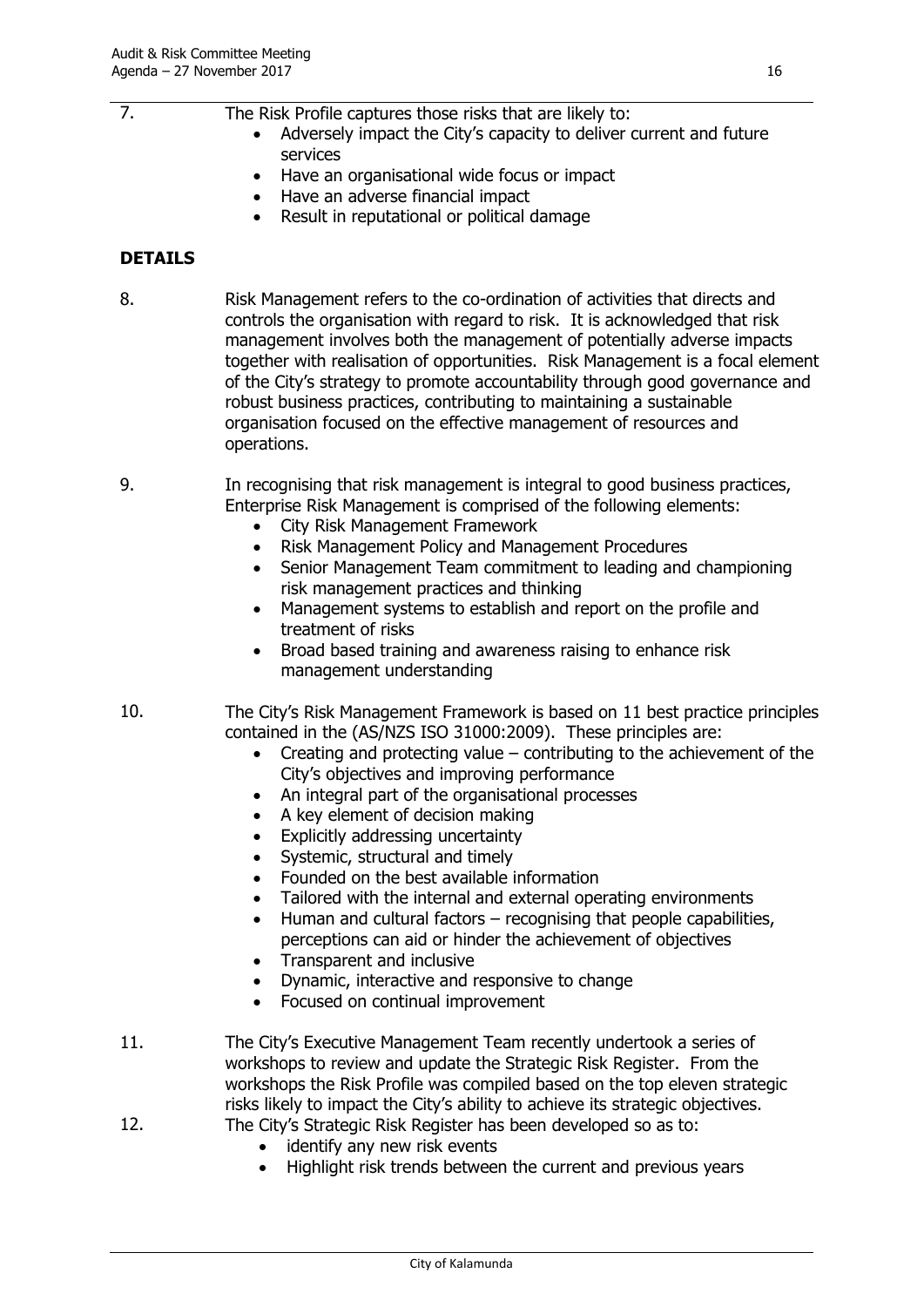- Adversely impact the City's capacity to deliver current and future services
- Have an organisational wide focus or impact
- Have an adverse financial impact
- Result in reputational or political damage

#### **DETAILS**

8. Risk Management refers to the co-ordination of activities that directs and controls the organisation with regard to risk. It is acknowledged that risk management involves both the management of potentially adverse impacts together with realisation of opportunities. Risk Management is a focal element of the City's strategy to promote accountability through good governance and robust business practices, contributing to maintaining a sustainable organisation focused on the effective management of resources and operations.

9. In recognising that risk management is integral to good business practices, Enterprise Risk Management is comprised of the following elements:

- City Risk Management Framework
- Risk Management Policy and Management Procedures
- Senior Management Team commitment to leading and championing risk management practices and thinking
- Management systems to establish and report on the profile and treatment of risks
- Broad based training and awareness raising to enhance risk management understanding
- 10. The City's Risk Management Framework is based on 11 best practice principles contained in the (AS/NZS ISO 31000:2009). These principles are:
	- $\bullet$  Creating and protecting value contributing to the achievement of the City's objectives and improving performance
	- An integral part of the organisational processes
	- A key element of decision making
	- Explicitly addressing uncertainty
	- Systemic, structural and timely
	- Founded on the best available information
	- Tailored with the internal and external operating environments
	- Human and cultural factors recognising that people capabilities, perceptions can aid or hinder the achievement of objectives
	- Transparent and inclusive
	- Dynamic, interactive and responsive to change
	- Focused on continual improvement
- 11. The City's Executive Management Team recently undertook a series of workshops to review and update the Strategic Risk Register. From the workshops the Risk Profile was compiled based on the top eleven strategic risks likely to impact the City's ability to achieve its strategic objectives.
- 12. The City's Strategic Risk Register has been developed so as to:
	- identify any new risk events
	- Highlight risk trends between the current and previous years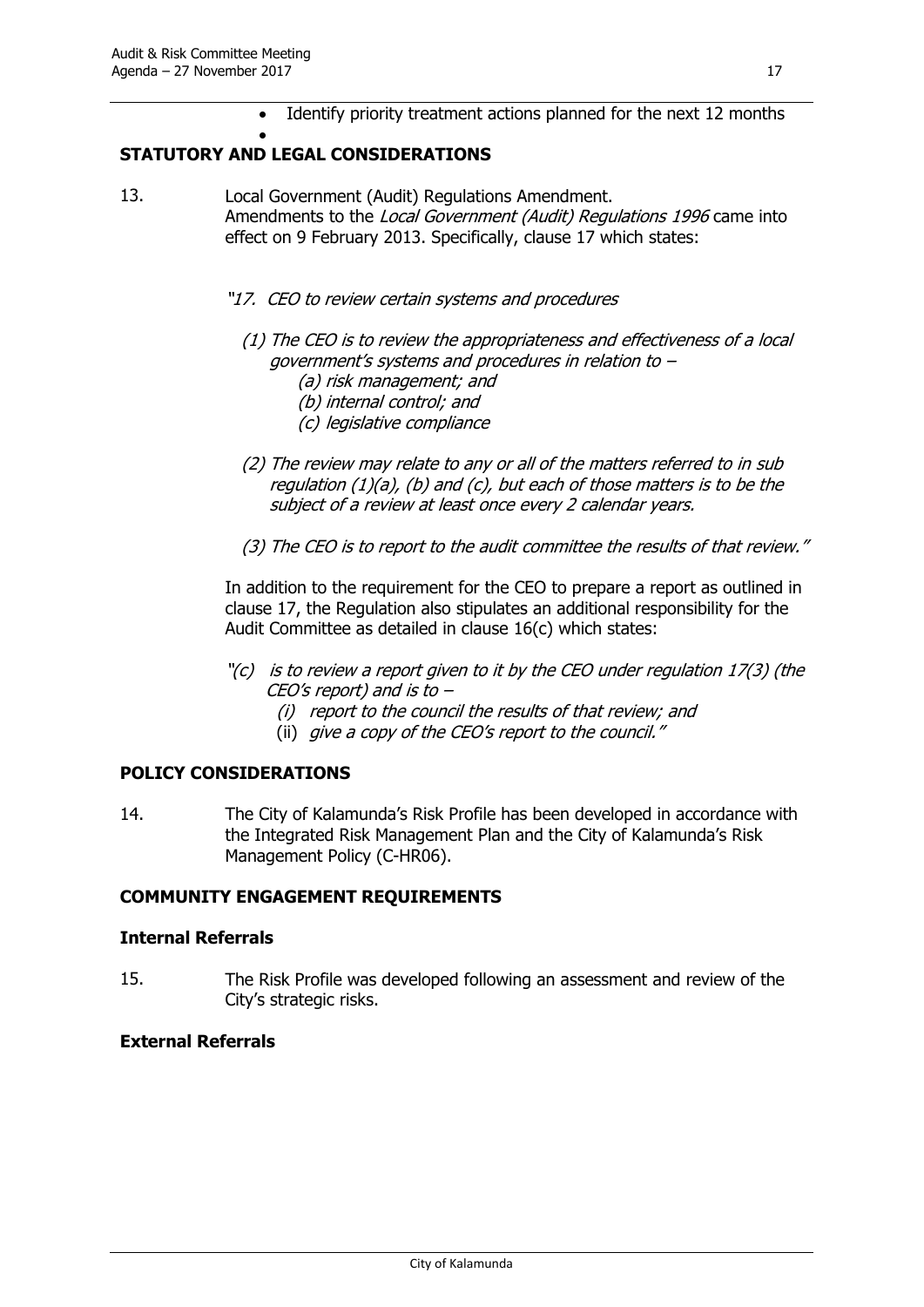Identify priority treatment actions planned for the next 12 months

#### $\bullet$ **STATUTORY AND LEGAL CONSIDERATIONS**

- 13. Local Government (Audit) Regulations Amendment. Amendments to the *Local Government (Audit) Regulations 1996* came into effect on 9 February 2013. Specifically, clause 17 which states:
	- "17. CEO to review certain systems and procedures
		- (1) The CEO is to review the appropriateness and effectiveness of a local government's systems and procedures in relation to –
			- (a) risk management; and
			- (b) internal control; and
			- (c) legislative compliance
		- (2) The review may relate to any or all of the matters referred to in sub requlation  $(1)(a)$ ,  $(b)$  and  $(c)$ , but each of those matters is to be the subject of a review at least once every 2 calendar years.
		- (3) The CEO is to report to the audit committee the results of that review."

In addition to the requirement for the CEO to prepare a report as outlined in clause 17, the Regulation also stipulates an additional responsibility for the Audit Committee as detailed in clause 16(c) which states:

- $\Gamma(c)$  is to review a report given to it by the CEO under regulation 17(3) (the CEO's report) and is to –
	- (i) report to the council the results of that review; and
	- (ii) give a copy of the CEO's report to the council."

#### **POLICY CONSIDERATIONS**

14. The City of Kalamunda's Risk Profile has been developed in accordance with the Integrated Risk Management Plan and the City of Kalamunda's Risk Management Policy (C-HR06).

#### **COMMUNITY ENGAGEMENT REQUIREMENTS**

#### **Internal Referrals**

15. The Risk Profile was developed following an assessment and review of the City's strategic risks.

#### **External Referrals**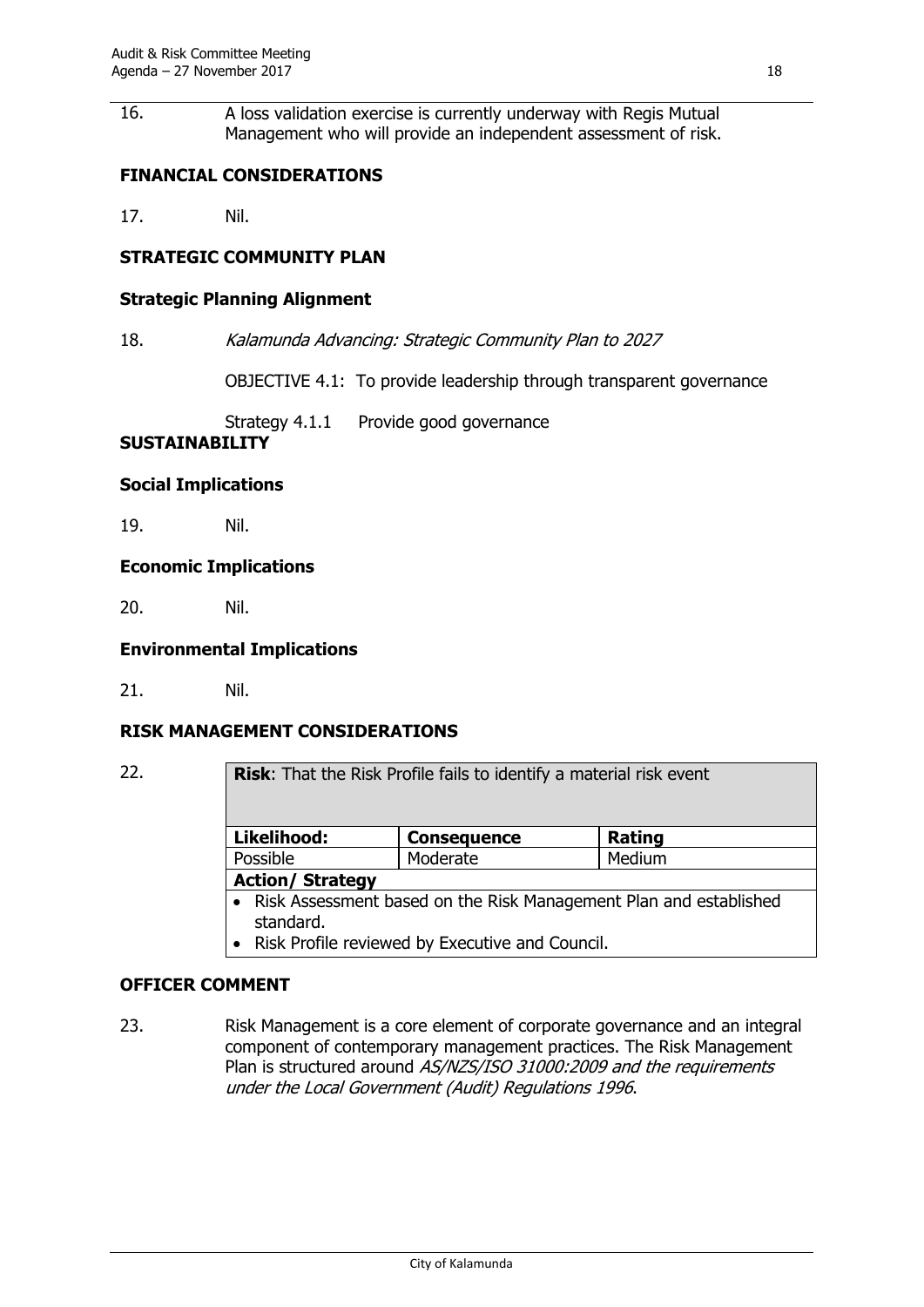16. A loss validation exercise is currently underway with Regis Mutual Management who will provide an independent assessment of risk.

#### **FINANCIAL CONSIDERATIONS**

17. Nil.

#### **STRATEGIC COMMUNITY PLAN**

#### **Strategic Planning Alignment**

18. Kalamunda Advancing: Strategic Community Plan to 2027

OBJECTIVE 4.1: To provide leadership through transparent governance

Strategy 4.1.1 Provide good governance

#### **SUSTAINABILITY**

#### **Social Implications**

19. Nil.

#### **Economic Implications**

20. Nil.

#### **Environmental Implications**

21. Nil.

#### **RISK MANAGEMENT CONSIDERATIONS**

22. **Risk**: That the Risk Profile fails to identify a material risk event

| Likelihood:             | <b>Consequence</b> | Rating |  |
|-------------------------|--------------------|--------|--|
| Possible                | Moderate           | Medium |  |
| <b>Action/ Strategy</b> |                    |        |  |
| ----                    | -----              |        |  |

- Risk Assessment based on the Risk Management Plan and established standard.
- Risk Profile reviewed by Executive and Council.

#### **OFFICER COMMENT**

23. Risk Management is a core element of corporate governance and an integral component of contemporary management practices. The Risk Management Plan is structured around AS/NZS/ISO 31000:2009 and the requirements under the Local Government (Audit) Regulations 1996.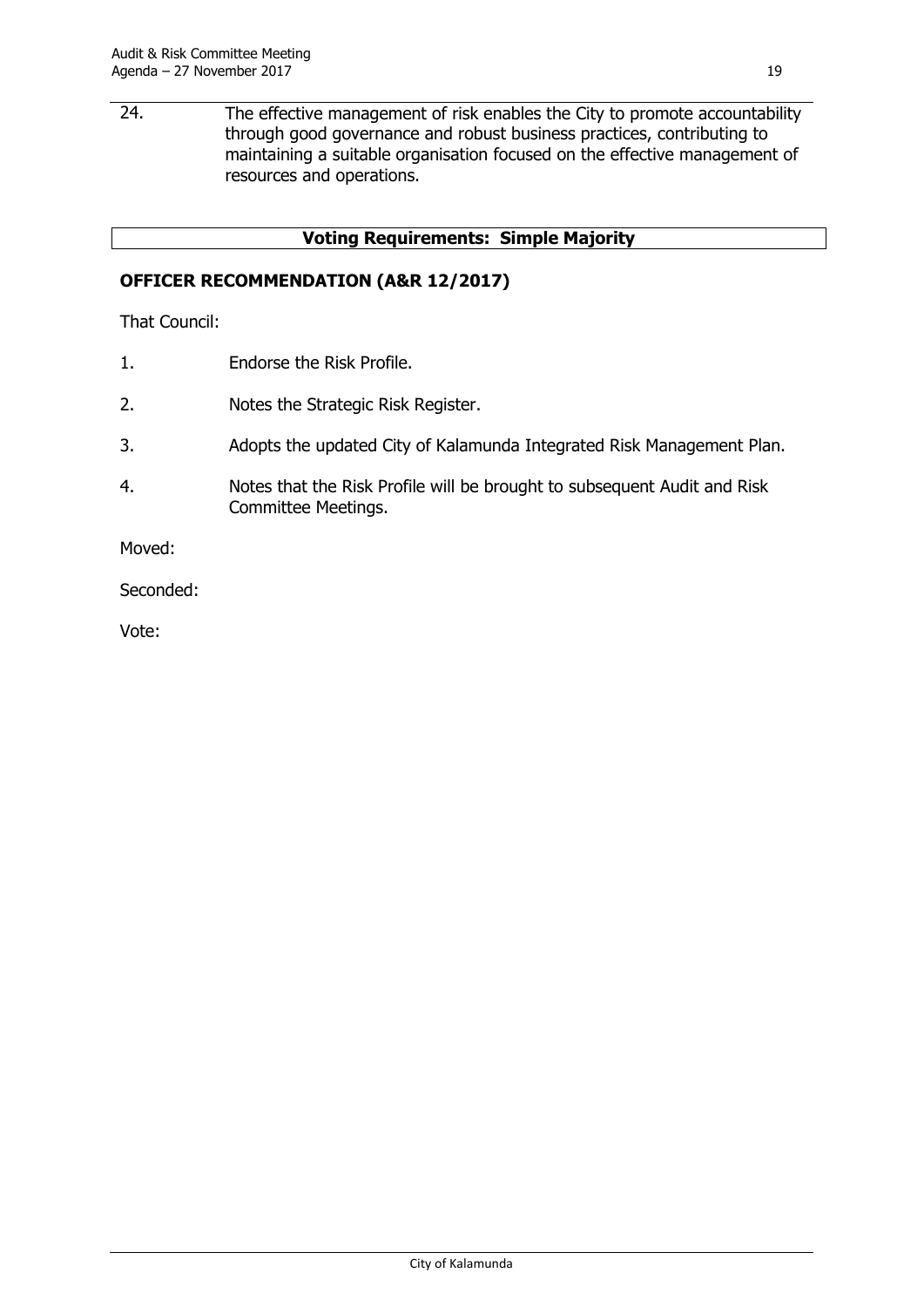24. The effective management of risk enables the City to promote accountability through good governance and robust business practices, contributing to maintaining a suitable organisation focused on the effective management of resources and operations.

#### **Voting Requirements: Simple Majority**

#### **OFFICER RECOMMENDATION (A&R 12/2017)**

That Council:

- 1. Endorse the Risk Profile.
- 2. Notes the Strategic Risk Register.
- 3. Adopts the updated City of Kalamunda Integrated Risk Management Plan.
- 4. Notes that the Risk Profile will be brought to subsequent Audit and Risk Committee Meetings.

Moved:

Seconded:

Vote: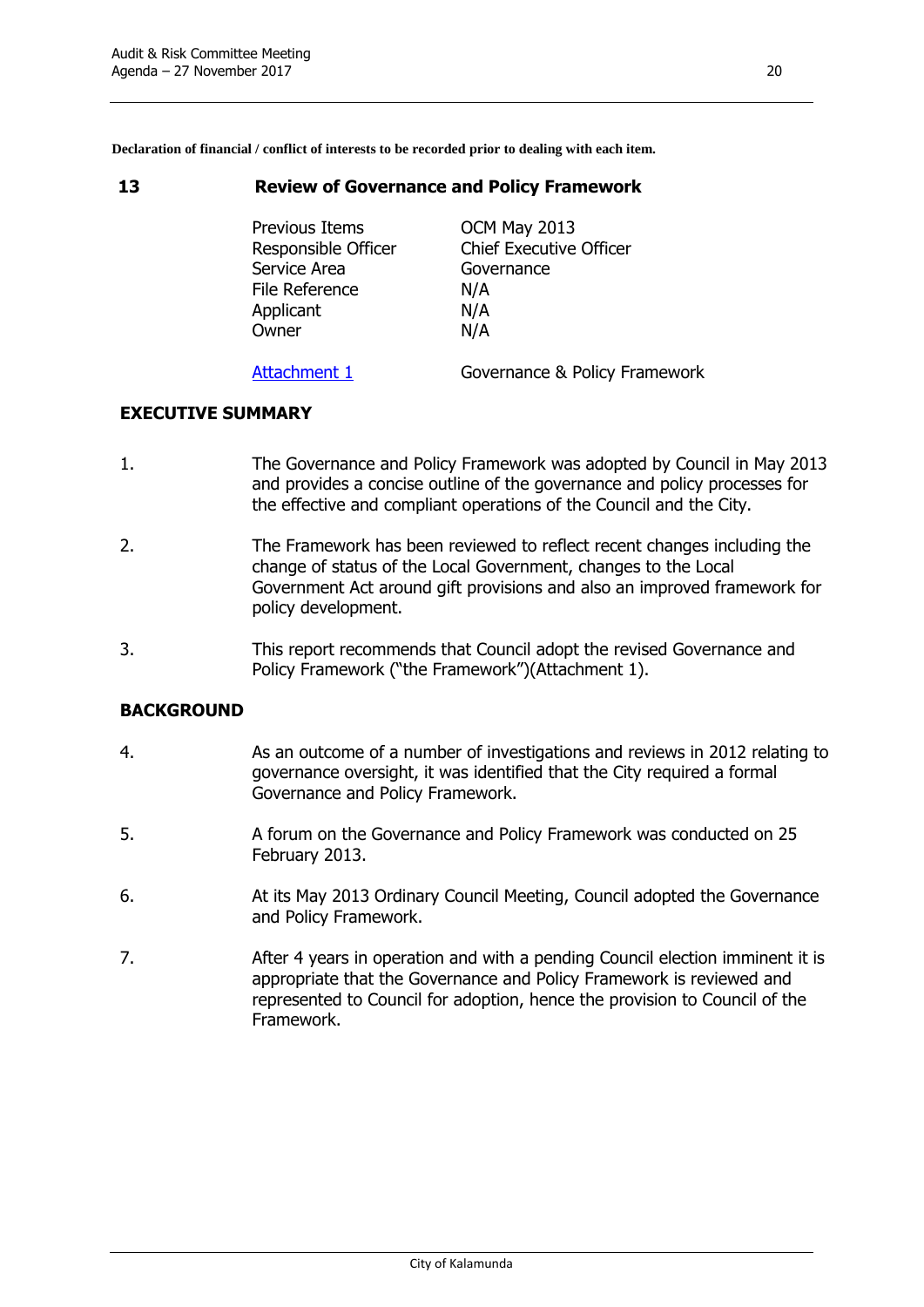**Declaration of financial / conflict of interests to be recorded prior to dealing with each item.**

#### <span id="page-23-0"></span>**13 Review of Governance and Policy Framework**

Previous Items **OCM May 2013** Responsible Officer Chief Executive Officer Service Area **Governance** File Reference N/A Applicant N/A Owner N/A

[Attachment 1](http://www.kalamunda.wa.gov.au/files/64f0c347-47d3-4ae8-b729-a83401039bb3/131-Review-Governance-and-Policy-Framework-2017-Att-1.pdf) Governance & Policy Framework

#### **EXECUTIVE SUMMARY**

- 1. The Governance and Policy Framework was adopted by Council in May 2013 and provides a concise outline of the governance and policy processes for the effective and compliant operations of the Council and the City.
- 2. The Framework has been reviewed to reflect recent changes including the change of status of the Local Government, changes to the Local Government Act around gift provisions and also an improved framework for policy development.
- 3. This report recommends that Council adopt the revised Governance and Policy Framework ("the Framework")(Attachment 1).

#### **BACKGROUND**

- 4. As an outcome of a number of investigations and reviews in 2012 relating to governance oversight, it was identified that the City required a formal Governance and Policy Framework.
- 5. A forum on the Governance and Policy Framework was conducted on 25 February 2013.
- 6. At its May 2013 Ordinary Council Meeting, Council adopted the Governance and Policy Framework.
- 7. After 4 years in operation and with a pending Council election imminent it is appropriate that the Governance and Policy Framework is reviewed and represented to Council for adoption, hence the provision to Council of the Framework.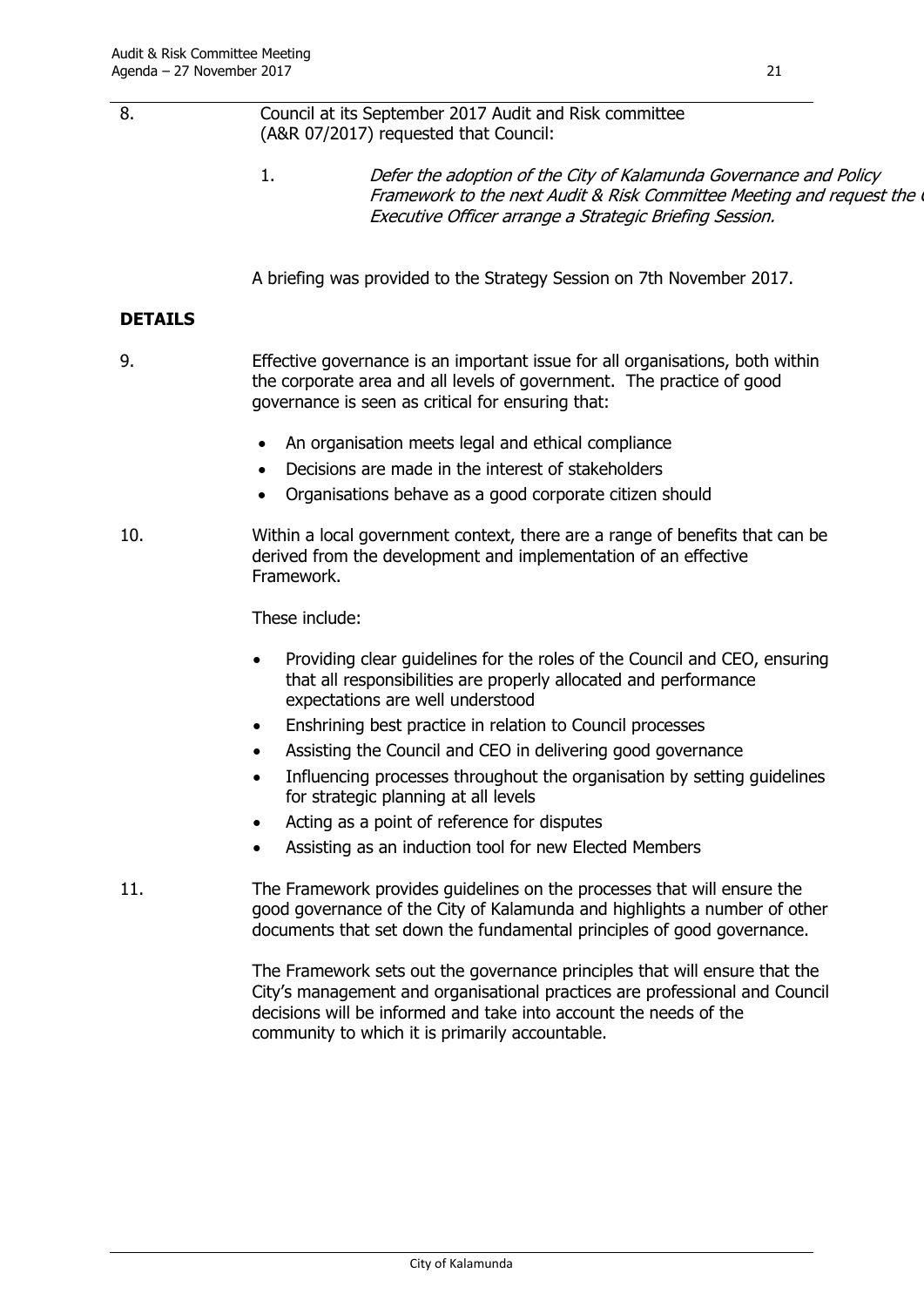| 8.             | Council at its September 2017 Audit and Risk committee<br>(A&R 07/2017) requested that Council:                                                                                                                                                                                   |
|----------------|-----------------------------------------------------------------------------------------------------------------------------------------------------------------------------------------------------------------------------------------------------------------------------------|
|                | 1.<br>Defer the adoption of the City of Kalamunda Governance and Policy<br>Framework to the next Audit & Risk Committee Meeting and request the<br>Executive Officer arrange a Strategic Briefing Session.                                                                        |
|                | A briefing was provided to the Strategy Session on 7th November 2017.                                                                                                                                                                                                             |
| <b>DETAILS</b> |                                                                                                                                                                                                                                                                                   |
| 9.             | Effective governance is an important issue for all organisations, both within<br>the corporate area and all levels of government. The practice of good<br>governance is seen as critical for ensuring that:                                                                       |
|                | An organisation meets legal and ethical compliance<br>٠                                                                                                                                                                                                                           |
|                | Decisions are made in the interest of stakeholders<br>$\bullet$                                                                                                                                                                                                                   |
|                | Organisations behave as a good corporate citizen should<br>٠                                                                                                                                                                                                                      |
| 10.            | Within a local government context, there are a range of benefits that can be<br>derived from the development and implementation of an effective<br>Framework.                                                                                                                     |
|                | These include:                                                                                                                                                                                                                                                                    |
|                | Providing clear guidelines for the roles of the Council and CEO, ensuring<br>$\bullet$<br>that all responsibilities are properly allocated and performance<br>expectations are well understood                                                                                    |
|                | Enshrining best practice in relation to Council processes<br>٠                                                                                                                                                                                                                    |
|                | Assisting the Council and CEO in delivering good governance                                                                                                                                                                                                                       |
|                | Influencing processes throughout the organisation by setting guidelines<br>for strategic planning at all levels                                                                                                                                                                   |
|                | Acting as a point of reference for disputes<br>$\bullet$                                                                                                                                                                                                                          |
|                | Assisting as an induction tool for new Elected Members                                                                                                                                                                                                                            |
| 11.            | The Framework provides guidelines on the processes that will ensure the<br>good governance of the City of Kalamunda and highlights a number of other<br>documents that set down the fundamental principles of good governance.                                                    |
|                | The Framework sets out the governance principles that will ensure that the<br>City's management and organisational practices are professional and Council<br>decisions will be informed and take into account the needs of the<br>community to which it is primarily accountable. |
|                |                                                                                                                                                                                                                                                                                   |
|                |                                                                                                                                                                                                                                                                                   |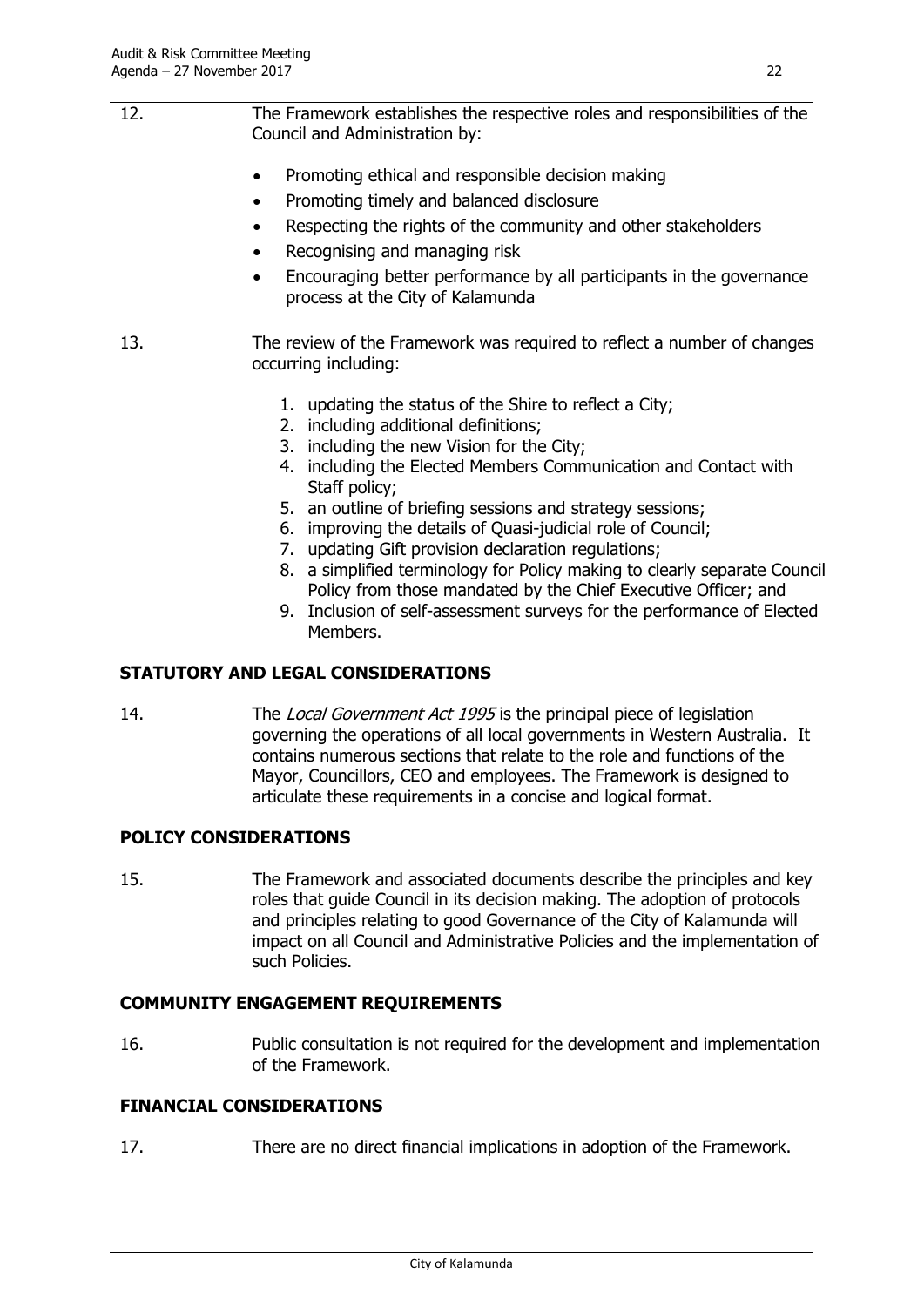- 12. The Framework establishes the respective roles and responsibilities of the Council and Administration by:
	- Promoting ethical and responsible decision making
	- Promoting timely and balanced disclosure
	- Respecting the rights of the community and other stakeholders
	- Recognising and managing risk
	- Encouraging better performance by all participants in the governance process at the City of Kalamunda
- 13. The review of the Framework was required to reflect a number of changes occurring including:
	- 1. updating the status of the Shire to reflect a City;
	- 2. including additional definitions;
	- 3. including the new Vision for the City;
	- 4. including the Elected Members Communication and Contact with Staff policy;
	- 5. an outline of briefing sessions and strategy sessions;
	- 6. improving the details of Quasi-judicial role of Council;
	- 7. updating Gift provision declaration regulations;
	- 8. a simplified terminology for Policy making to clearly separate Council Policy from those mandated by the Chief Executive Officer; and
	- 9. Inclusion of self-assessment surveys for the performance of Elected Members.

#### **STATUTORY AND LEGAL CONSIDERATIONS**

14. The Local Government Act 1995 is the principal piece of legislation governing the operations of all local governments in Western Australia. It contains numerous sections that relate to the role and functions of the Mayor, Councillors, CEO and employees. The Framework is designed to articulate these requirements in a concise and logical format.

#### **POLICY CONSIDERATIONS**

15. The Framework and associated documents describe the principles and key roles that guide Council in its decision making. The adoption of protocols and principles relating to good Governance of the City of Kalamunda will impact on all Council and Administrative Policies and the implementation of such Policies.

#### **COMMUNITY ENGAGEMENT REQUIREMENTS**

16. Public consultation is not required for the development and implementation of the Framework.

#### **FINANCIAL CONSIDERATIONS**

17. There are no direct financial implications in adoption of the Framework.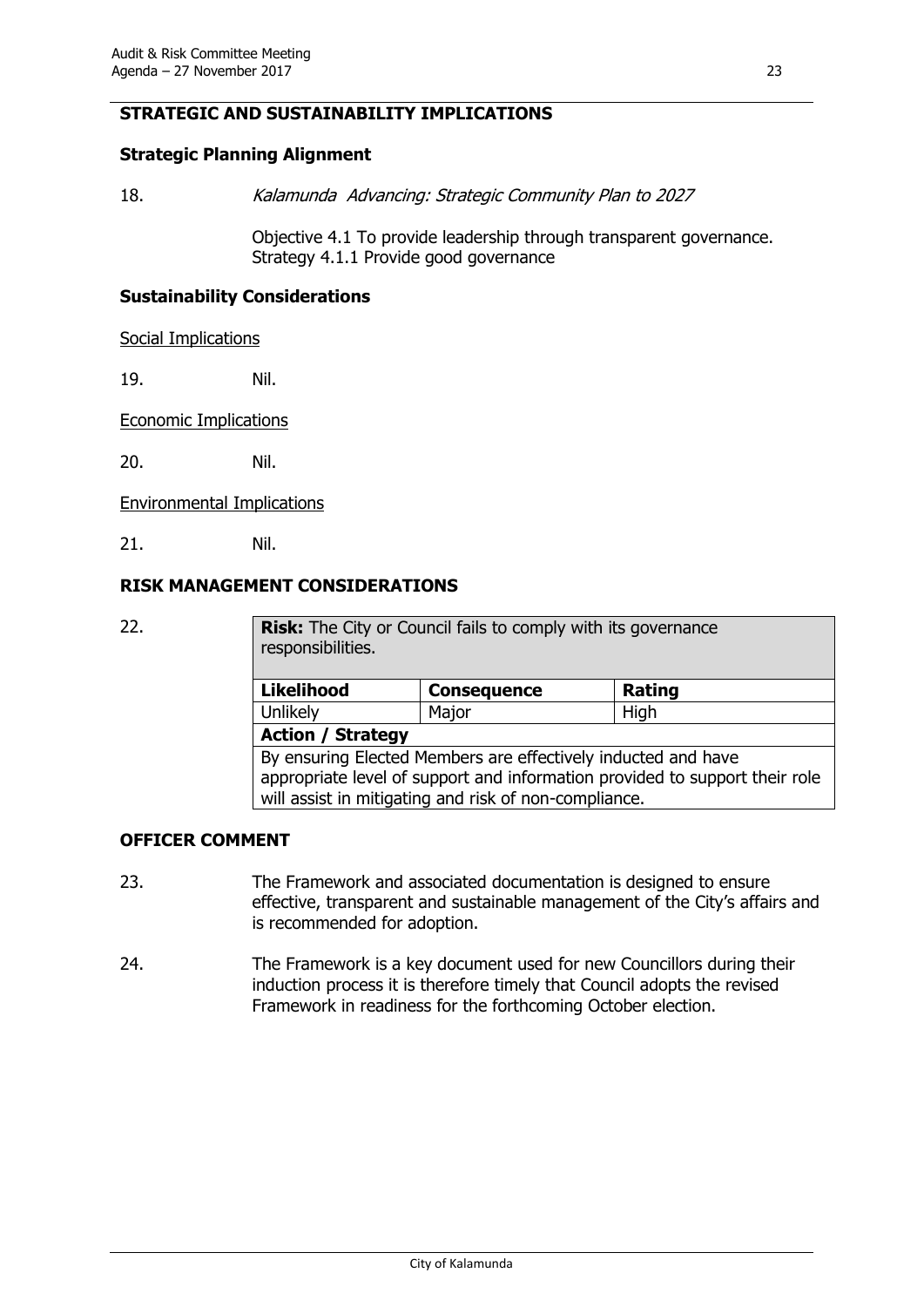#### **STRATEGIC AND SUSTAINABILITY IMPLICATIONS**

#### **Strategic Planning Alignment**

18. Kalamunda Advancing: Strategic Community Plan to 2027

Objective 4.1 To provide leadership through transparent governance. Strategy 4.1.1 Provide good governance

#### **Sustainability Considerations**

Social Implications

19. Nil.

Economic Implications

20. Nil.

Environmental Implications

21. Nil.

#### **RISK MANAGEMENT CONSIDERATIONS**

| 22.                                                   | Risk: The City or Council fails to comply with its governance<br>responsibilities. |                    |                                                                             |  |
|-------------------------------------------------------|------------------------------------------------------------------------------------|--------------------|-----------------------------------------------------------------------------|--|
|                                                       | <b>Likelihood</b>                                                                  | <b>Consequence</b> | Rating                                                                      |  |
|                                                       | Unlikely                                                                           | Major              | High                                                                        |  |
|                                                       | <b>Action / Strategy</b>                                                           |                    |                                                                             |  |
|                                                       | By ensuring Elected Members are effectively inducted and have                      |                    |                                                                             |  |
|                                                       |                                                                                    |                    | appropriate level of support and information provided to support their role |  |
| will assist in mitigating and risk of non-compliance. |                                                                                    |                    |                                                                             |  |

#### **OFFICER COMMENT**

- 23. The Framework and associated documentation is designed to ensure effective, transparent and sustainable management of the City's affairs and is recommended for adoption.
- 24. The Framework is a key document used for new Councillors during their induction process it is therefore timely that Council adopts the revised Framework in readiness for the forthcoming October election.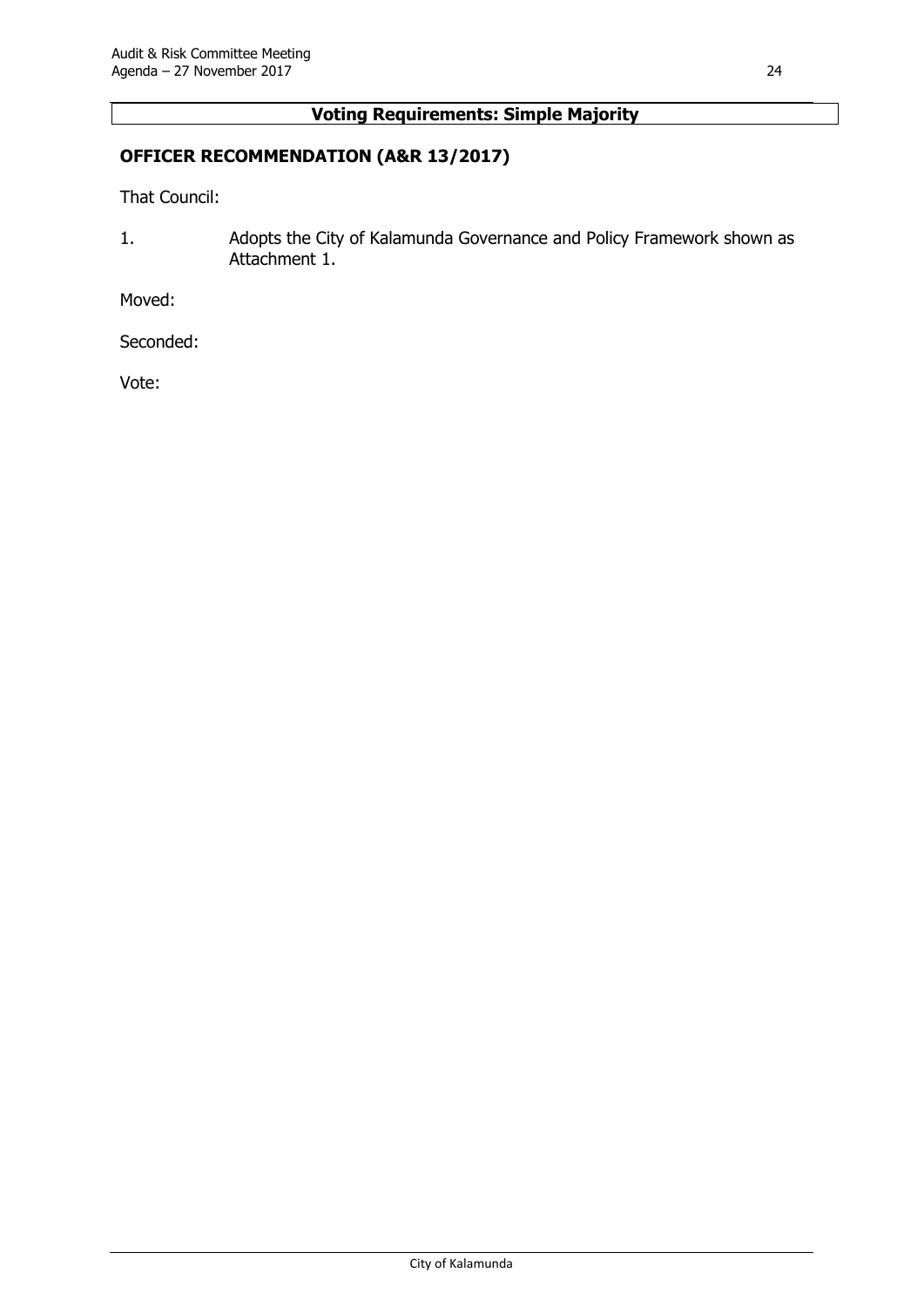#### **Voting Requirements: Simple Majority**

#### **OFFICER RECOMMENDATION (A&R 13/2017)**

That Council:

1. Adopts the City of Kalamunda Governance and Policy Framework shown as Attachment 1.

Moved:

Seconded:

Vote: